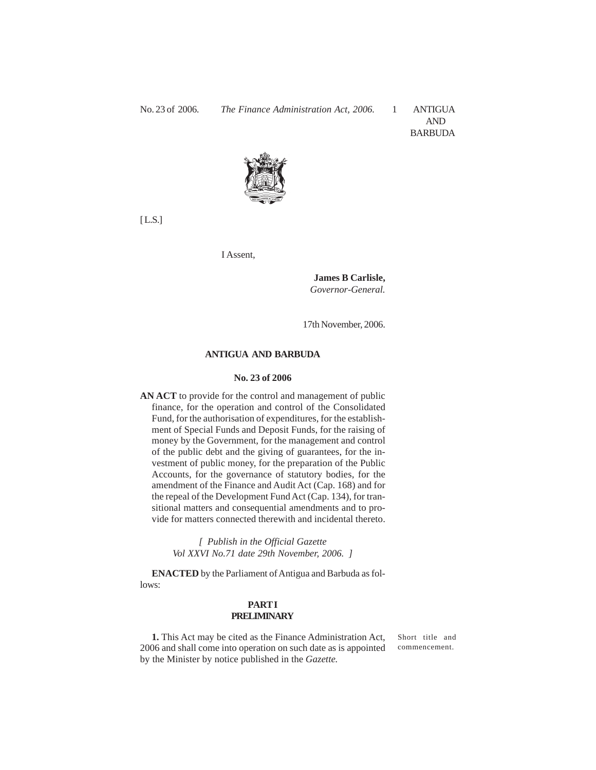No. 23 of 2006. The Finance Administration Act, 2006. 1 ANTIGUA

AND BARBUDA



[ L.S.]

I Assent,

**James B Carlisle,** *Governor-General.*

17th November, 2006.

## **ANTIGUA AND BARBUDA**

#### **No. 23 of 2006**

**AN ACT** to provide for the control and management of public finance, for the operation and control of the Consolidated Fund, for the authorisation of expenditures, for the establishment of Special Funds and Deposit Funds, for the raising of money by the Government, for the management and control of the public debt and the giving of guarantees, for the investment of public money, for the preparation of the Public Accounts, for the governance of statutory bodies, for the amendment of the Finance and Audit Act (Cap. 168) and for the repeal of the Development Fund Act (Cap. 134), for transitional matters and consequential amendments and to provide for matters connected therewith and incidental thereto.

> *[ Publish in the Official Gazette Vol XXVI No.71 date 29th November, 2006. ]*

**ENACTED** by the Parliament of Antigua and Barbuda as follows:

### **PART I PRELIMINARY**

**1.** This Act may be cited as the Finance Administration Act, 2006 and shall come into operation on such date as is appointed by the Minister by notice published in the *Gazette.* Short title and

commencement.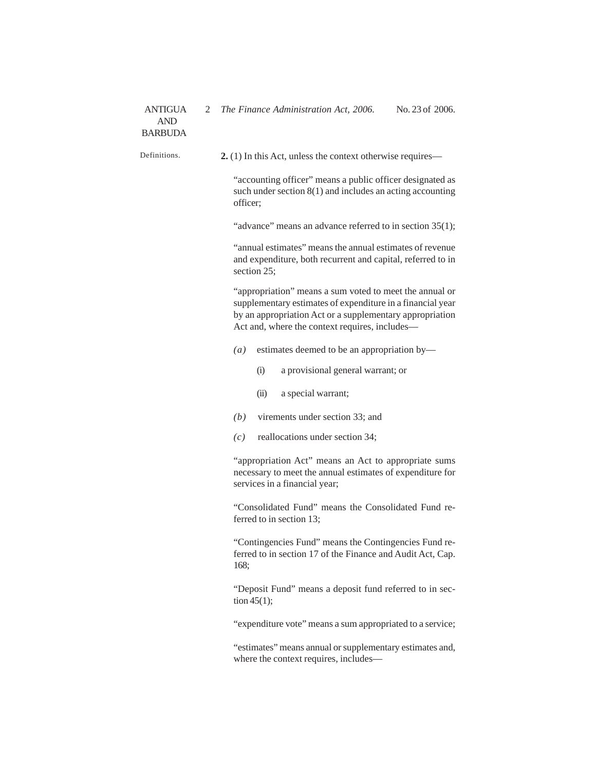| <b>ANTIGUA</b><br><b>AND</b><br><b>BARBUDA</b> | 2 | No. 23 of 2006.<br>The Finance Administration Act, 2006.                                                                                                                                                                            |  |
|------------------------------------------------|---|-------------------------------------------------------------------------------------------------------------------------------------------------------------------------------------------------------------------------------------|--|
| Definitions.                                   |   | 2. $(1)$ In this Act, unless the context otherwise requires—                                                                                                                                                                        |  |
|                                                |   | "accounting officer" means a public officer designated as<br>such under section $8(1)$ and includes an acting accounting<br>officer;                                                                                                |  |
|                                                |   | "advance" means an advance referred to in section 35(1);                                                                                                                                                                            |  |
|                                                |   | "annual estimates" means the annual estimates of revenue<br>and expenditure, both recurrent and capital, referred to in<br>section 25;                                                                                              |  |
|                                                |   | "appropriation" means a sum voted to meet the annual or<br>supplementary estimates of expenditure in a financial year<br>by an appropriation Act or a supplementary appropriation<br>Act and, where the context requires, includes— |  |
|                                                |   | $\left( a\right)$<br>estimates deemed to be an appropriation by-                                                                                                                                                                    |  |
|                                                |   | (i)<br>a provisional general warrant; or                                                                                                                                                                                            |  |
|                                                |   | (ii)<br>a special warrant;                                                                                                                                                                                                          |  |
|                                                |   | virements under section 33; and<br>(b)                                                                                                                                                                                              |  |
|                                                |   | reallocations under section 34;<br>(c)                                                                                                                                                                                              |  |
|                                                |   | "appropriation Act" means an Act to appropriate sums<br>necessary to meet the annual estimates of expenditure for<br>services in a financial year;                                                                                  |  |
|                                                |   | "Consolidated Fund" means the Consolidated Fund re-<br>ferred to in section 13;                                                                                                                                                     |  |
|                                                |   | "Contingencies Fund" means the Contingencies Fund re-<br>ferred to in section 17 of the Finance and Audit Act, Cap.<br>168;                                                                                                         |  |
|                                                |   | "Deposit Fund" means a deposit fund referred to in sec-<br>$\tan 45(1);$                                                                                                                                                            |  |
|                                                |   | "expenditure vote" means a sum appropriated to a service;                                                                                                                                                                           |  |
|                                                |   | "estimates" means annual or supplementary estimates and,<br>where the context requires, includes—                                                                                                                                   |  |
|                                                |   |                                                                                                                                                                                                                                     |  |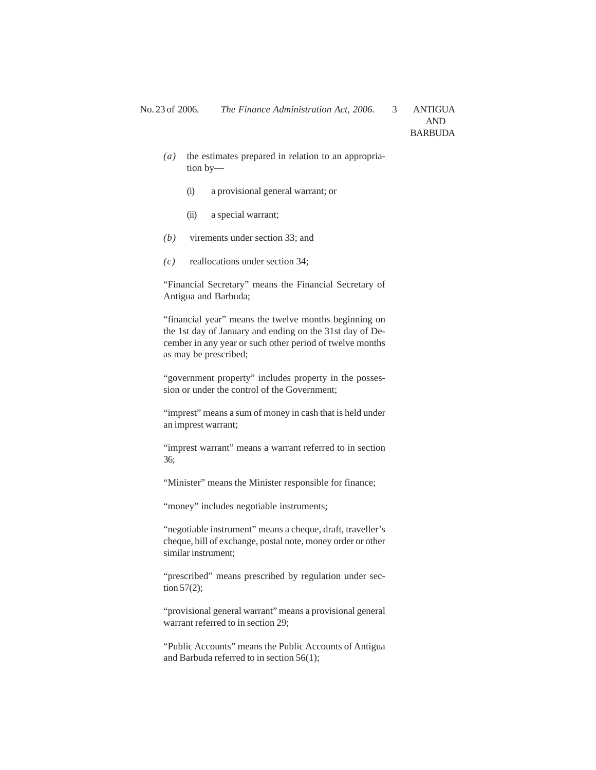BARBUDA

*(a)* the estimates prepared in relation to an appropriation by—

- (i) a provisional general warrant; or
- (ii) a special warrant;
- *(b)* virements under section 33; and
- *(c)* reallocations under section 34;

"Financial Secretary" means the Financial Secretary of Antigua and Barbuda;

"financial year" means the twelve months beginning on the 1st day of January and ending on the 31st day of December in any year or such other period of twelve months as may be prescribed;

"government property" includes property in the possession or under the control of the Government;

"imprest" means a sum of money in cash that is held under an imprest warrant;

"imprest warrant" means a warrant referred to in section 36;

"Minister" means the Minister responsible for finance;

"money" includes negotiable instruments;

"negotiable instrument" means a cheque, draft, traveller's cheque, bill of exchange, postal note, money order or other similar instrument;

"prescribed" means prescribed by regulation under section 57(2);

"provisional general warrant" means a provisional general warrant referred to in section 29;

"Public Accounts" means the Public Accounts of Antigua and Barbuda referred to in section 56(1);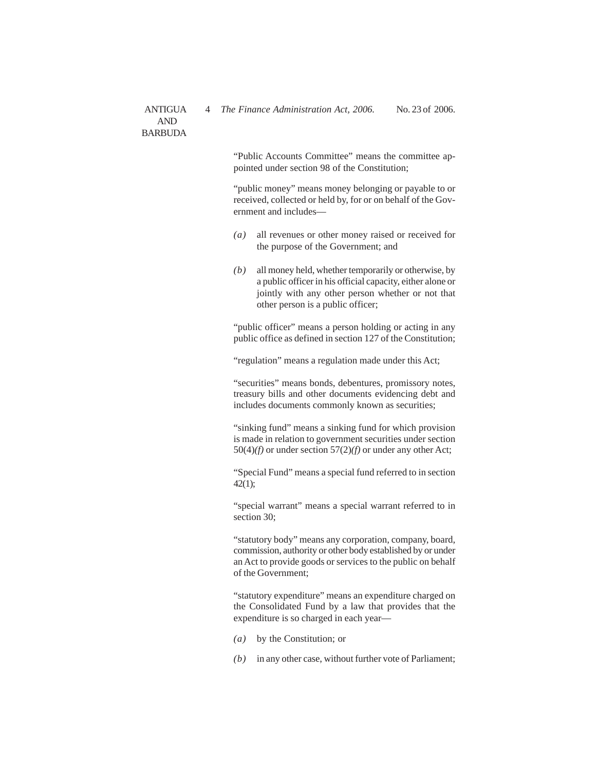# AND BARBUDA

"Public Accounts Committee" means the committee appointed under section 98 of the Constitution;

"public money" means money belonging or payable to or received, collected or held by, for or on behalf of the Government and includes—

- *(a)* all revenues or other money raised or received for the purpose of the Government; and
- *(b)* all money held, whether temporarily or otherwise, by a public officer in his official capacity, either alone or jointly with any other person whether or not that other person is a public officer;

"public officer" means a person holding or acting in any public office as defined in section 127 of the Constitution;

"regulation" means a regulation made under this Act;

"securities" means bonds, debentures, promissory notes, treasury bills and other documents evidencing debt and includes documents commonly known as securities;

"sinking fund" means a sinking fund for which provision is made in relation to government securities under section 50(4)*(f)* or under section 57(2)*(f)* or under any other Act;

"Special Fund" means a special fund referred to in section 42(1);

"special warrant" means a special warrant referred to in section 30;

"statutory body" means any corporation, company, board, commission, authority or other body established by or under an Act to provide goods or services to the public on behalf of the Government;

"statutory expenditure" means an expenditure charged on the Consolidated Fund by a law that provides that the expenditure is so charged in each year—

- *(a)* by the Constitution; or
- *(b)* in any other case, without further vote of Parliament;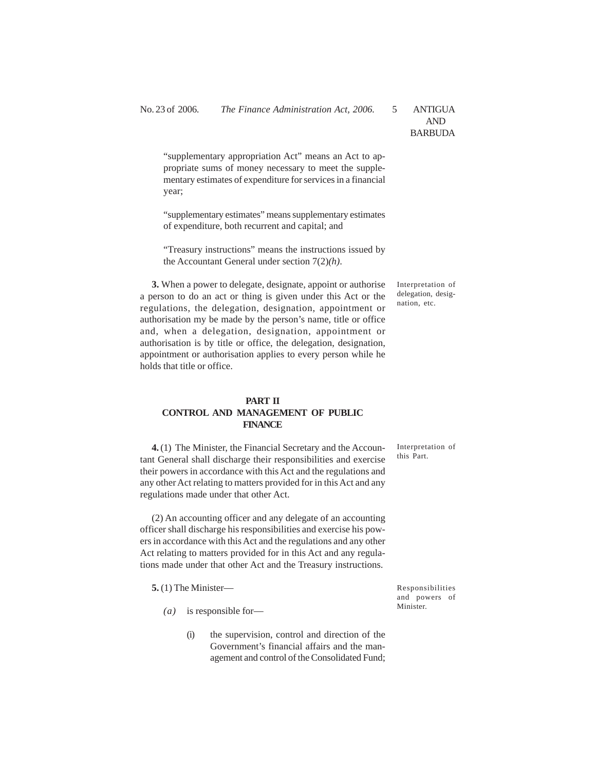"supplementary appropriation Act" means an Act to appropriate sums of money necessary to meet the supplementary estimates of expenditure for services in a financial year;

"supplementary estimates" means supplementary estimates of expenditure, both recurrent and capital; and

"Treasury instructions" means the instructions issued by the Accountant General under section 7(2)*(h)*.

**3.** When a power to delegate, designate, appoint or authorise a person to do an act or thing is given under this Act or the regulations, the delegation, designation, appointment or authorisation my be made by the person's name, title or office and, when a delegation, designation, appointment or authorisation is by title or office, the delegation, designation, appointment or authorisation applies to every person while he holds that title or office.

## **PART II CONTROL AND MANAGEMENT OF PUBLIC FINANCE**

**4.** (1) The Minister, the Financial Secretary and the Accountant General shall discharge their responsibilities and exercise their powers in accordance with this Act and the regulations and any other Act relating to matters provided for in this Act and any regulations made under that other Act.

(2) An accounting officer and any delegate of an accounting officer shall discharge his responsibilities and exercise his powers in accordance with this Act and the regulations and any other Act relating to matters provided for in this Act and any regulations made under that other Act and the Treasury instructions.

**5.** (1) The Minister—

- *(a)* is responsible for—
	- (i) the supervision, control and direction of the Government's financial affairs and the management and control of the Consolidated Fund;

Interpretation of this Part.

Interpretation of delegation, designation, etc.

Responsibilities and powers of Minister.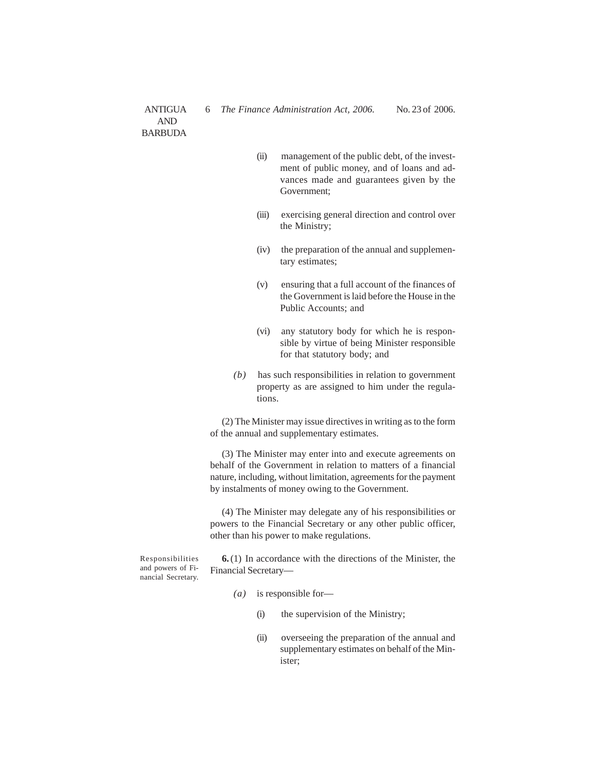- (ii) management of the public debt, of the investment of public money, and of loans and advances made and guarantees given by the Government;
- (iii) exercising general direction and control over the Ministry;
- (iv) the preparation of the annual and supplementary estimates;
- (v) ensuring that a full account of the finances of the Government is laid before the House in the Public Accounts; and
- (vi) any statutory body for which he is responsible by virtue of being Minister responsible for that statutory body; and
- *(b)* has such responsibilities in relation to government property as are assigned to him under the regulations.

(2) The Minister may issue directives in writing as to the form of the annual and supplementary estimates.

(3) The Minister may enter into and execute agreements on behalf of the Government in relation to matters of a financial nature, including, without limitation, agreements for the payment by instalments of money owing to the Government.

(4) The Minister may delegate any of his responsibilities or powers to the Financial Secretary or any other public officer, other than his power to make regulations.

Responsibilities and powers of Financial Secretary.

**6.** (1) In accordance with the directions of the Minister, the Financial Secretary—

- *(a)* is responsible for—
	- (i) the supervision of the Ministry;
	- (ii) overseeing the preparation of the annual and supplementary estimates on behalf of the Minister;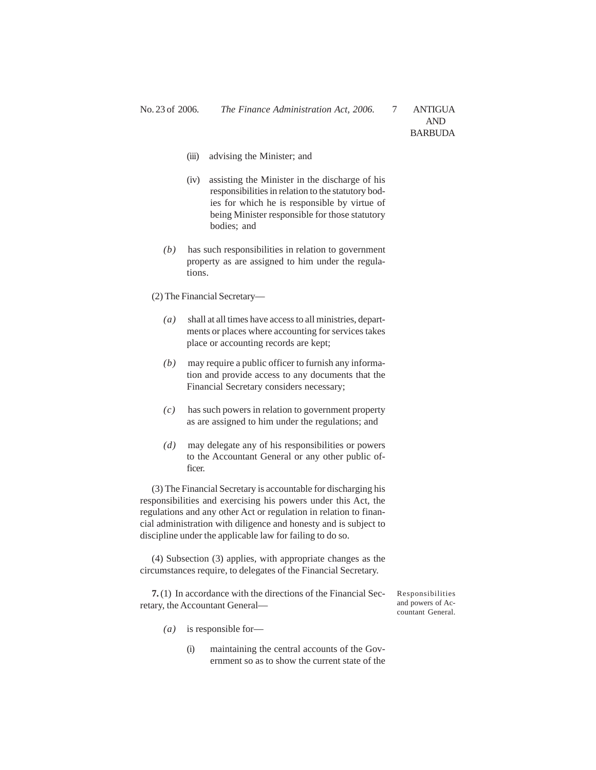- (iii) advising the Minister; and
- (iv) assisting the Minister in the discharge of his responsibilities in relation to the statutory bodies for which he is responsible by virtue of being Minister responsible for those statutory bodies; and
- *(b)* has such responsibilities in relation to government property as are assigned to him under the regulations.
- (2) The Financial Secretary—
	- *(a)* shall at all times have access to all ministries, departments or places where accounting for services takes place or accounting records are kept;
	- *(b)* may require a public officer to furnish any information and provide access to any documents that the Financial Secretary considers necessary;
	- *(c)* has such powers in relation to government property as are assigned to him under the regulations; and
	- *(d)* may delegate any of his responsibilities or powers to the Accountant General or any other public officer.

(3) The Financial Secretary is accountable for discharging his responsibilities and exercising his powers under this Act, the regulations and any other Act or regulation in relation to financial administration with diligence and honesty and is subject to discipline under the applicable law for failing to do so.

(4) Subsection (3) applies, with appropriate changes as the circumstances require, to delegates of the Financial Secretary.

**7.** (1) In accordance with the directions of the Financial Secretary, the Accountant GeneralResponsibilities and powers of Accountant General.

- *(a)* is responsible for—
	- (i) maintaining the central accounts of the Government so as to show the current state of the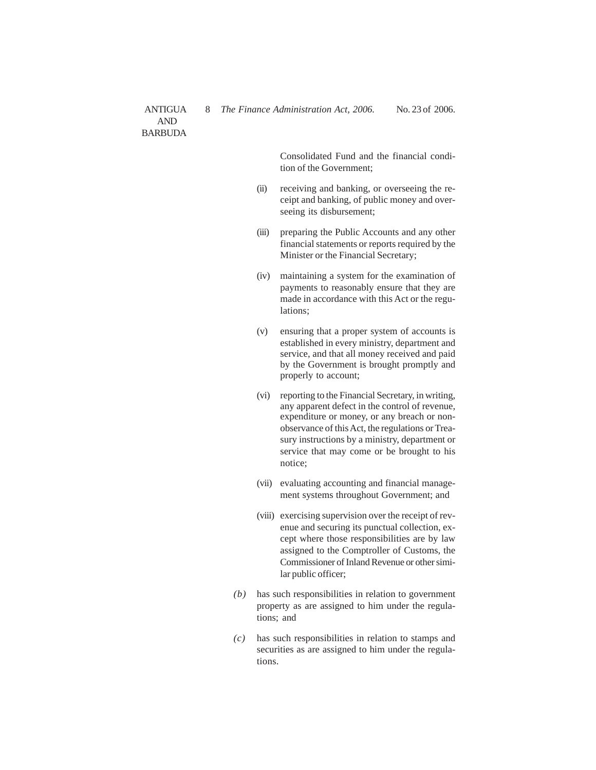## AND BARBUDA

Consolidated Fund and the financial condition of the Government;

- (ii) receiving and banking, or overseeing the receipt and banking, of public money and overseeing its disbursement;
- (iii) preparing the Public Accounts and any other financial statements or reports required by the Minister or the Financial Secretary;
- (iv) maintaining a system for the examination of payments to reasonably ensure that they are made in accordance with this Act or the regulations;
- (v) ensuring that a proper system of accounts is established in every ministry, department and service, and that all money received and paid by the Government is brought promptly and properly to account;
- (vi) reporting to the Financial Secretary, in writing, any apparent defect in the control of revenue, expenditure or money, or any breach or nonobservance of this Act, the regulations or Treasury instructions by a ministry, department or service that may come or be brought to his notice;
- (vii) evaluating accounting and financial management systems throughout Government; and
- (viii) exercising supervision over the receipt of revenue and securing its punctual collection, except where those responsibilities are by law assigned to the Comptroller of Customs, the Commissioner of Inland Revenue or other similar public officer;
- *(b)* has such responsibilities in relation to government property as are assigned to him under the regulations; and
- *(c)* has such responsibilities in relation to stamps and securities as are assigned to him under the regulations.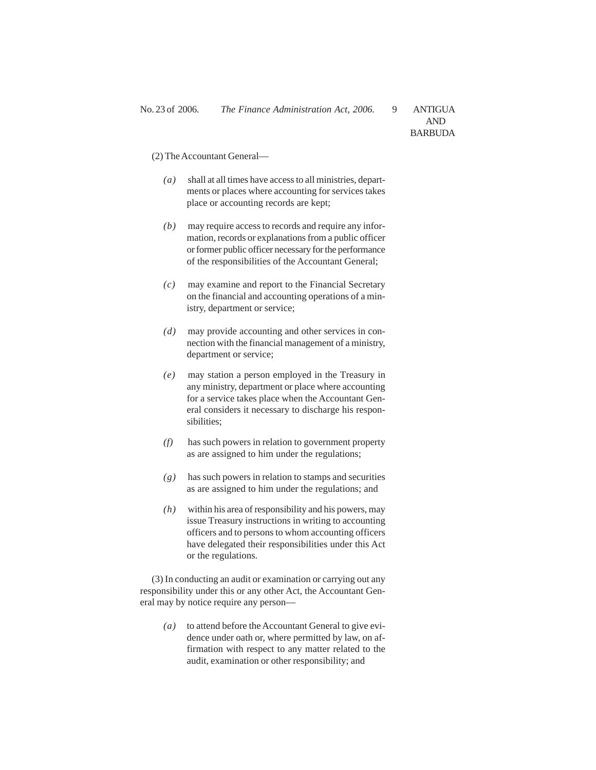## BARBUDA

(2) The Accountant General—

- *(a)* shall at all times have access to all ministries, departments or places where accounting for services takes place or accounting records are kept;
- *(b)* may require access to records and require any information, records or explanations from a public officer or former public officer necessary for the performance of the responsibilities of the Accountant General;
- *(c)* may examine and report to the Financial Secretary on the financial and accounting operations of a ministry, department or service;
- *(d)* may provide accounting and other services in connection with the financial management of a ministry, department or service;
- *(e)* may station a person employed in the Treasury in any ministry, department or place where accounting for a service takes place when the Accountant General considers it necessary to discharge his responsibilities;
- *(f)* has such powers in relation to government property as are assigned to him under the regulations;
- *(g)* has such powers in relation to stamps and securities as are assigned to him under the regulations; and
- *(h)* within his area of responsibility and his powers, may issue Treasury instructions in writing to accounting officers and to persons to whom accounting officers have delegated their responsibilities under this Act or the regulations.

(3) In conducting an audit or examination or carrying out any responsibility under this or any other Act, the Accountant General may by notice require any person—

*(a)* to attend before the Accountant General to give evidence under oath or, where permitted by law, on affirmation with respect to any matter related to the audit, examination or other responsibility; and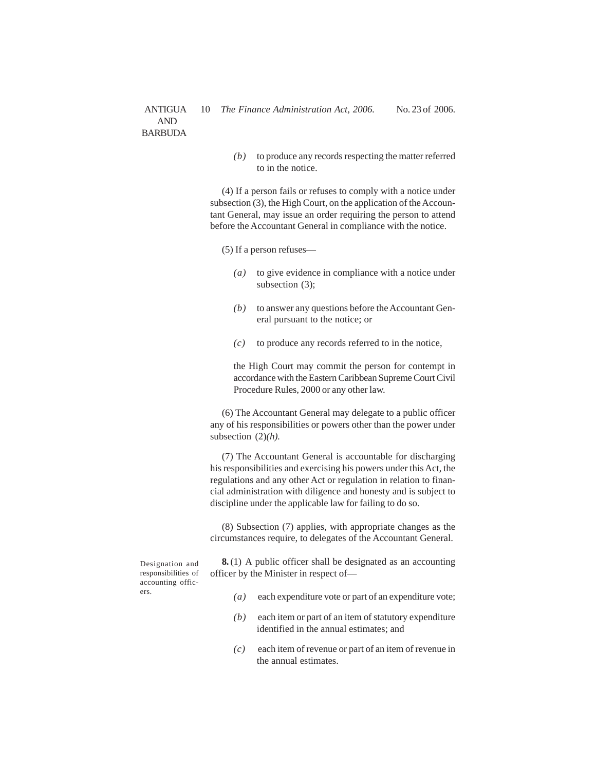## ANTIGUA 10 The Finance Administration Act, 2006. No. 23 of 2006. AND BARBUDA

*(b)* to produce any records respecting the matter referred to in the notice.

(4) If a person fails or refuses to comply with a notice under subsection (3), the High Court, on the application of the Accountant General, may issue an order requiring the person to attend before the Accountant General in compliance with the notice.

- (5) If a person refuses—
	- *(a)* to give evidence in compliance with a notice under subsection (3);
	- *(b)* to answer any questions before the Accountant General pursuant to the notice; or
	- *(c)* to produce any records referred to in the notice,

the High Court may commit the person for contempt in accordance with the Eastern Caribbean Supreme Court Civil Procedure Rules, 2000 or any other law.

(6) The Accountant General may delegate to a public officer any of his responsibilities or powers other than the power under subsection (2)*(h).*

(7) The Accountant General is accountable for discharging his responsibilities and exercising his powers under this Act, the regulations and any other Act or regulation in relation to financial administration with diligence and honesty and is subject to discipline under the applicable law for failing to do so.

(8) Subsection (7) applies, with appropriate changes as the circumstances require, to delegates of the Accountant General.

Designation and responsibilities of accounting officers.

**8.** (1) A public officer shall be designated as an accounting officer by the Minister in respect of—

- *(a)* each expenditure vote or part of an expenditure vote;
- *(b)* each item or part of an item of statutory expenditure identified in the annual estimates; and
- *(c)* each item of revenue or part of an item of revenue in the annual estimates.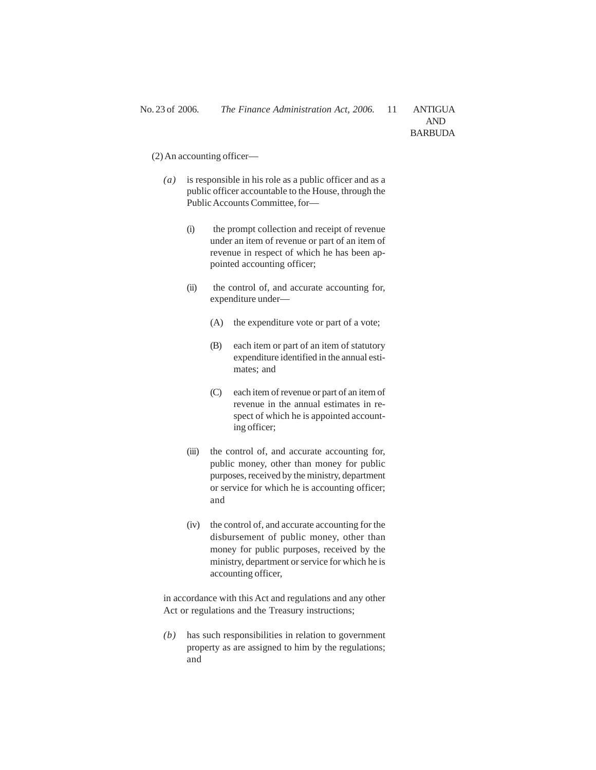# BARBUDA

(2) An accounting officer—

- *(a)* is responsible in his role as a public officer and as a public officer accountable to the House, through the Public Accounts Committee, for—
	- (i) the prompt collection and receipt of revenue under an item of revenue or part of an item of revenue in respect of which he has been appointed accounting officer;
	- (ii) the control of, and accurate accounting for, expenditure under—
		- (A) the expenditure vote or part of a vote;
		- (B) each item or part of an item of statutory expenditure identified in the annual estimates; and
		- (C) each item of revenue or part of an item of revenue in the annual estimates in respect of which he is appointed accounting officer;
	- (iii) the control of, and accurate accounting for, public money, other than money for public purposes, received by the ministry, department or service for which he is accounting officer; and
	- (iv) the control of, and accurate accounting for the disbursement of public money, other than money for public purposes, received by the ministry, department or service for which he is accounting officer,

in accordance with this Act and regulations and any other Act or regulations and the Treasury instructions;

*(b)* has such responsibilities in relation to government property as are assigned to him by the regulations; and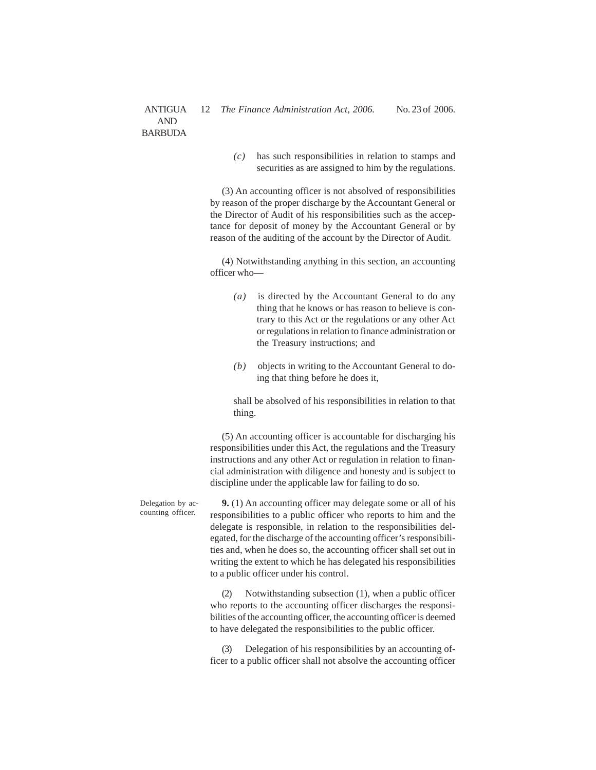*(c)* has such responsibilities in relation to stamps and securities as are assigned to him by the regulations.

(3) An accounting officer is not absolved of responsibilities by reason of the proper discharge by the Accountant General or the Director of Audit of his responsibilities such as the acceptance for deposit of money by the Accountant General or by reason of the auditing of the account by the Director of Audit.

(4) Notwithstanding anything in this section, an accounting officer who—

- *(a)* is directed by the Accountant General to do any thing that he knows or has reason to believe is contrary to this Act or the regulations or any other Act or regulations in relation to finance administration or the Treasury instructions; and
- *(b)* objects in writing to the Accountant General to doing that thing before he does it,

shall be absolved of his responsibilities in relation to that thing.

(5) An accounting officer is accountable for discharging his responsibilities under this Act, the regulations and the Treasury instructions and any other Act or regulation in relation to financial administration with diligence and honesty and is subject to discipline under the applicable law for failing to do so.

Delegation by accounting officer.

**9.** (1) An accounting officer may delegate some or all of his responsibilities to a public officer who reports to him and the delegate is responsible, in relation to the responsibilities delegated, for the discharge of the accounting officer's responsibilities and, when he does so, the accounting officer shall set out in writing the extent to which he has delegated his responsibilities to a public officer under his control.

(2) Notwithstanding subsection (1), when a public officer who reports to the accounting officer discharges the responsibilities of the accounting officer, the accounting officer is deemed to have delegated the responsibilities to the public officer.

(3) Delegation of his responsibilities by an accounting officer to a public officer shall not absolve the accounting officer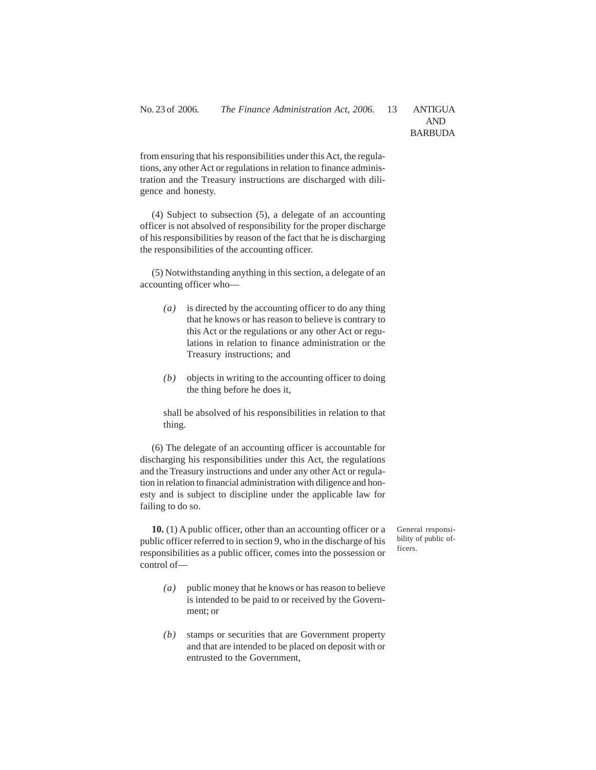from ensuring that his responsibilities under this Act, the regulations, any other Act or regulations in relation to finance administration and the Treasury instructions are discharged with diligence and honesty.

(4) Subject to subsection (5), a delegate of an accounting officer is not absolved of responsibility for the proper discharge of his responsibilities by reason of the fact that he is discharging the responsibilities of the accounting officer.

(5) Notwithstanding anything in this section, a delegate of an accounting officer who—

- *(a)* is directed by the accounting officer to do any thing that he knows or has reason to believe is contrary to this Act or the regulations or any other Act or regulations in relation to finance administration or the Treasury instructions; and
- *(b)* objects in writing to the accounting officer to doing the thing before he does it,

shall be absolved of his responsibilities in relation to that thing.

(6) The delegate of an accounting officer is accountable for discharging his responsibilities under this Act, the regulations and the Treasury instructions and under any other Act or regulation in relation to financial administration with diligence and honesty and is subject to discipline under the applicable law for failing to do so.

**10.** (1) A public officer, other than an accounting officer or a public officer referred to in section 9, who in the discharge of his responsibilities as a public officer, comes into the possession or control of—

- *(a)* public money that he knows or has reason to believe is intended to be paid to or received by the Government; or
- *(b)* stamps or securities that are Government property and that are intended to be placed on deposit with or entrusted to the Government,

General responsibility of public officers.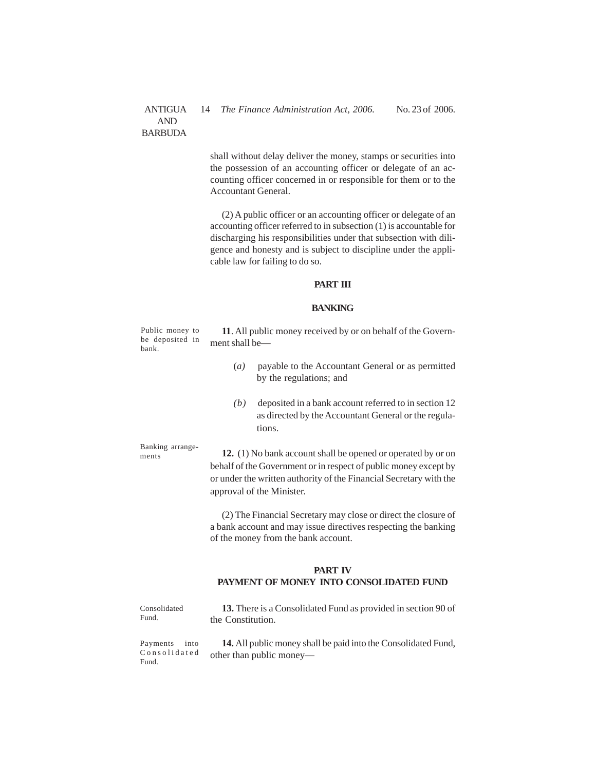shall without delay deliver the money, stamps or securities into the possession of an accounting officer or delegate of an accounting officer concerned in or responsible for them or to the Accountant General.

(2) A public officer or an accounting officer or delegate of an accounting officer referred to in subsection (1) is accountable for discharging his responsibilities under that subsection with diligence and honesty and is subject to discipline under the applicable law for failing to do so.

#### **PART III**

#### **BANKING**

**11**. All public money received by or on behalf of the Government shall be— Public money to be deposited in bank.

- (*a)* payable to the Accountant General or as permitted by the regulations; and
- *(b)* deposited in a bank account referred to in section 12 as directed by the Accountant General or the regulations.

Banking arrangements

**12.** (1) No bank account shall be opened or operated by or on behalf of the Government or in respect of public money except by or under the written authority of the Financial Secretary with the approval of the Minister.

(2) The Financial Secretary may close or direct the closure of a bank account and may issue directives respecting the banking of the money from the bank account.

### **PART IV PAYMENT OF MONEY INTO CONSOLIDATED FUND**

**13.** There is a Consolidated Fund as provided in section 90 of the Constitution. Consolidated Fund.

**14.** All public money shall be paid into the Consolidated Fund, other than public money— Payments into Consolidated Fund.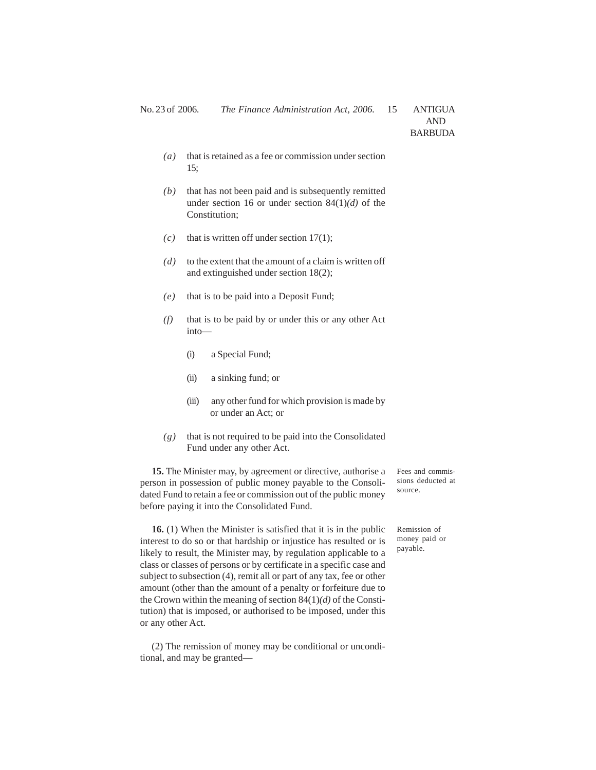AND BARBUDA

- *(a)* that is retained as a fee or commission under section 15;
- *(b)* that has not been paid and is subsequently remitted under section 16 or under section 84(1)*(d)* of the Constitution;
- *(c)* that is written off under section 17(1);
- *(d)* to the extent that the amount of a claim is written off and extinguished under section 18(2);
- *(e)* that is to be paid into a Deposit Fund;
- *(f)* that is to be paid by or under this or any other Act into—
	- (i) a Special Fund;
	- (ii) a sinking fund; or
	- (iii) any other fund for which provision is made by or under an Act; or
- *(g)* that is not required to be paid into the Consolidated Fund under any other Act.

**15.** The Minister may, by agreement or directive, authorise a person in possession of public money payable to the Consolidated Fund to retain a fee or commission out of the public money before paying it into the Consolidated Fund.

**16.** (1) When the Minister is satisfied that it is in the public interest to do so or that hardship or injustice has resulted or is likely to result, the Minister may, by regulation applicable to a class or classes of persons or by certificate in a specific case and subject to subsection (4), remit all or part of any tax, fee or other amount (other than the amount of a penalty or forfeiture due to the Crown within the meaning of section 84(1)*(d)* of the Constitution) that is imposed, or authorised to be imposed, under this or any other Act.

(2) The remission of money may be conditional or unconditional, and may be grantedFees and commissions deducted at source.

Remission of money paid or payable.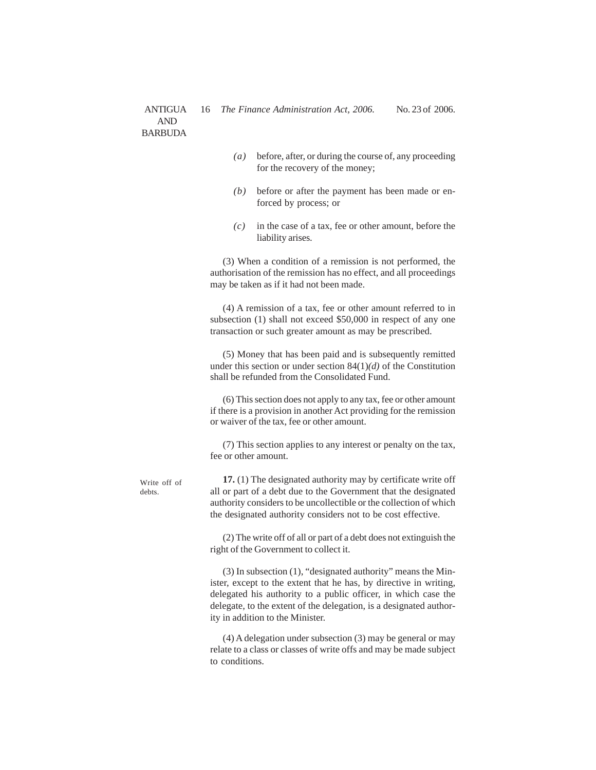- *(a)* before, after, or during the course of, any proceeding for the recovery of the money;
- *(b)* before or after the payment has been made or enforced by process; or
- *(c)* in the case of a tax, fee or other amount, before the liability arises.

(3) When a condition of a remission is not performed, the authorisation of the remission has no effect, and all proceedings may be taken as if it had not been made.

(4) A remission of a tax, fee or other amount referred to in subsection (1) shall not exceed \$50,000 in respect of any one transaction or such greater amount as may be prescribed.

(5) Money that has been paid and is subsequently remitted under this section or under section 84(1)*(d)* of the Constitution shall be refunded from the Consolidated Fund.

(6) This section does not apply to any tax, fee or other amount if there is a provision in another Act providing for the remission or waiver of the tax, fee or other amount.

(7) This section applies to any interest or penalty on the tax, fee or other amount.

**17.** (1) The designated authority may by certificate write off all or part of a debt due to the Government that the designated authority considers to be uncollectible or the collection of which the designated authority considers not to be cost effective.

(2) The write off of all or part of a debt does not extinguish the right of the Government to collect it.

(3) In subsection (1), "designated authority" means the Minister, except to the extent that he has, by directive in writing, delegated his authority to a public officer, in which case the delegate, to the extent of the delegation, is a designated authority in addition to the Minister.

(4) A delegation under subsection (3) may be general or may relate to a class or classes of write offs and may be made subject to conditions.

Write off of debts.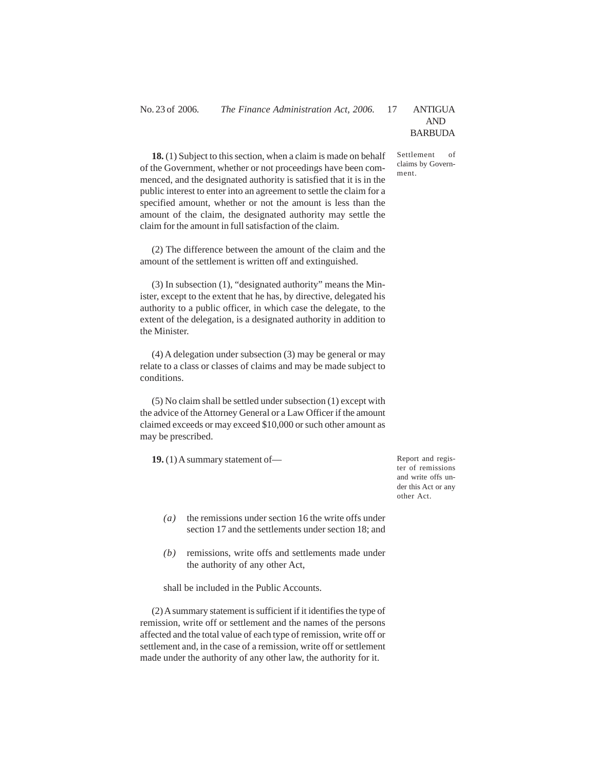# AND BARBUDA

**18.** (1) Subject to this section, when a claim is made on behalf of the Government, whether or not proceedings have been commenced, and the designated authority is satisfied that it is in the public interest to enter into an agreement to settle the claim for a specified amount, whether or not the amount is less than the amount of the claim, the designated authority may settle the claim for the amount in full satisfaction of the claim.

(2) The difference between the amount of the claim and the amount of the settlement is written off and extinguished.

(3) In subsection (1), "designated authority" means the Minister, except to the extent that he has, by directive, delegated his authority to a public officer, in which case the delegate, to the extent of the delegation, is a designated authority in addition to the Minister.

(4) A delegation under subsection (3) may be general or may relate to a class or classes of claims and may be made subject to conditions.

(5) No claim shall be settled under subsection (1) except with the advice of the Attorney General or a Law Officer if the amount claimed exceeds or may exceed \$10,000 or such other amount as may be prescribed.

**19.** (1) A summary statement of—

Report and register of remissions and write offs under this Act or any other Act.

- *(a)* the remissions under section 16 the write offs under section 17 and the settlements under section 18; and
- *(b)* remissions, write offs and settlements made under the authority of any other Act,

shall be included in the Public Accounts.

(2) A summary statement is sufficient if it identifies the type of remission, write off or settlement and the names of the persons affected and the total value of each type of remission, write off or settlement and, in the case of a remission, write off or settlement made under the authority of any other law, the authority for it.

Settlement of claims by Government.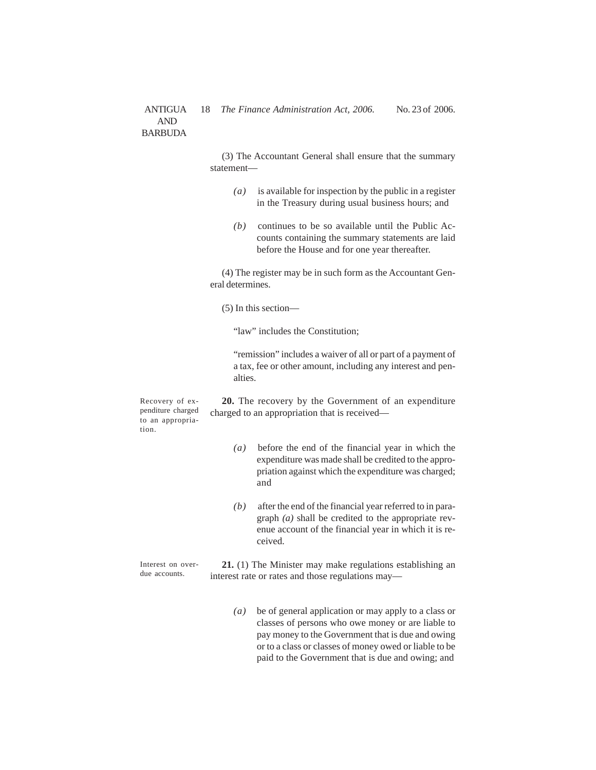(3) The Accountant General shall ensure that the summary statement—

- *(a)* is available for inspection by the public in a register in the Treasury during usual business hours; and
- *(b)* continues to be so available until the Public Accounts containing the summary statements are laid before the House and for one year thereafter.

(4) The register may be in such form as the Accountant General determines.

(5) In this section—

"law" includes the Constitution;

"remission" includes a waiver of all or part of a payment of a tax, fee or other amount, including any interest and penalties.

Recovery of expenditure charged to an appropriation.

**20.** The recovery by the Government of an expenditure charged to an appropriation that is received—

- *(a)* before the end of the financial year in which the expenditure was made shall be credited to the appropriation against which the expenditure was charged; and
- *(b)* after the end of the financial year referred to in paragraph *(a)* shall be credited to the appropriate revenue account of the financial year in which it is received.

Interest on overdue accounts.

**21.** (1) The Minister may make regulations establishing an interest rate or rates and those regulations may—

> *(a)* be of general application or may apply to a class or classes of persons who owe money or are liable to pay money to the Government that is due and owing or to a class or classes of money owed or liable to be paid to the Government that is due and owing; and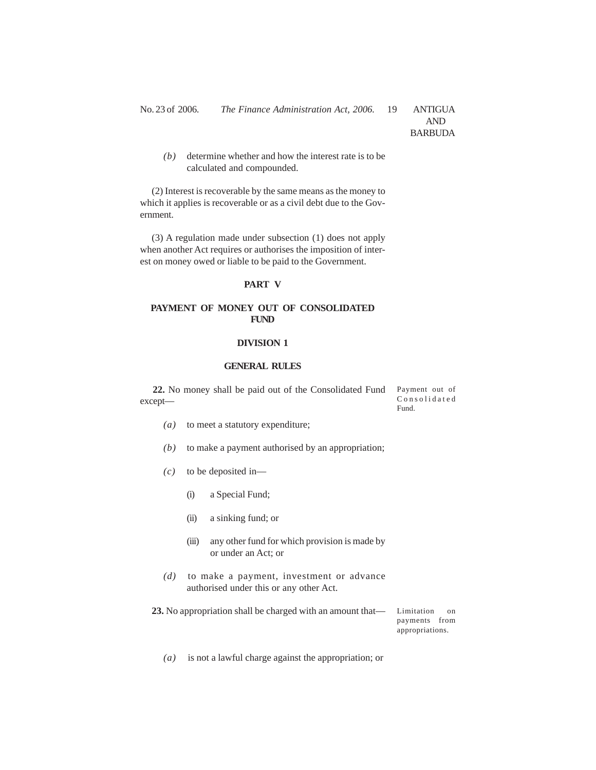*(b)* determine whether and how the interest rate is to be calculated and compounded.

(2) Interest is recoverable by the same means as the money to which it applies is recoverable or as a civil debt due to the Government.

(3) A regulation made under subsection (1) does not apply when another Act requires or authorises the imposition of interest on money owed or liable to be paid to the Government.

#### **PART V**

## **PAYMENT OF MONEY OUT OF CONSOLIDATED FUND**

#### **DIVISION 1**

#### **GENERAL RULES**

**22.** No money shall be paid out of the Consolidated Fund except— Payment out of Consolidated Fund.

- *(a)* to meet a statutory expenditure;
- *(b)* to make a payment authorised by an appropriation;
- *(c)* to be deposited in—
	- (i) a Special Fund;
	- (ii) a sinking fund; or
	- (iii) any other fund for which provision is made by or under an Act; or
- *(d)* to make a payment, investment or advance authorised under this or any other Act.
- **23.** No appropriation shall be charged with an amount that—

Limitation on payments from appropriations.

*(a)* is not a lawful charge against the appropriation; or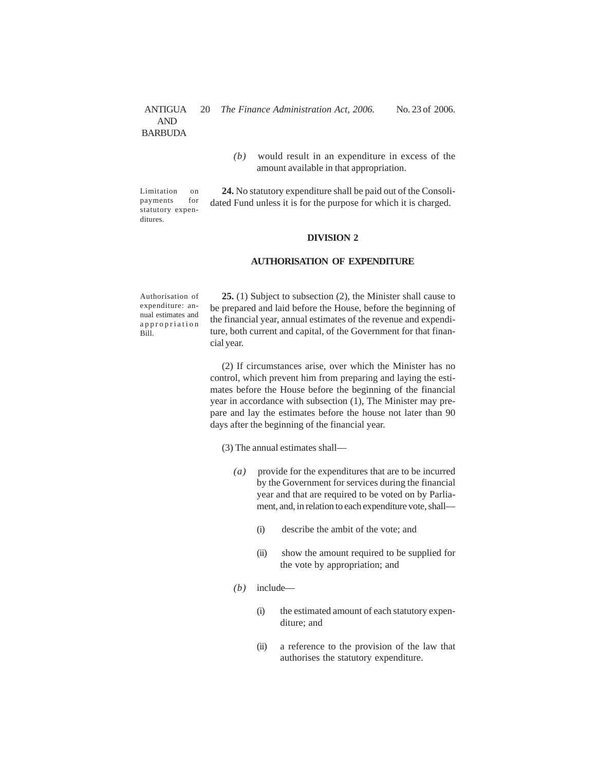ANTIGUA 20 The Finance Administration Act, 2006. No. 23 of 2006. AND BARBUDA

> *(b)* would result in an expenditure in excess of the amount available in that appropriation.

**24.** No statutory expenditure shall be paid out of the Consolidated Fund unless it is for the purpose for which it is charged. Limitation on payments for statutory expenditures.

#### **DIVISION 2**

#### **AUTHORISATION OF EXPENDITURE**

Authorisation of expenditure: annual estimates and appropriation Bill.

**25.** (1) Subject to subsection (2), the Minister shall cause to be prepared and laid before the House, before the beginning of the financial year, annual estimates of the revenue and expenditure, both current and capital, of the Government for that financial year.

(2) If circumstances arise, over which the Minister has no control, which prevent him from preparing and laying the estimates before the House before the beginning of the financial year in accordance with subsection (1), The Minister may prepare and lay the estimates before the house not later than 90 days after the beginning of the financial year.

(3) The annual estimates shall—

- *(a)* provide for the expenditures that are to be incurred by the Government for services during the financial year and that are required to be voted on by Parliament, and, in relation to each expenditure vote, shall—
	- (i) describe the ambit of the vote; and
	- (ii) show the amount required to be supplied for the vote by appropriation; and
- *(b)* include—
	- (i) the estimated amount of each statutory expenditure; and
	- (ii) a reference to the provision of the law that authorises the statutory expenditure.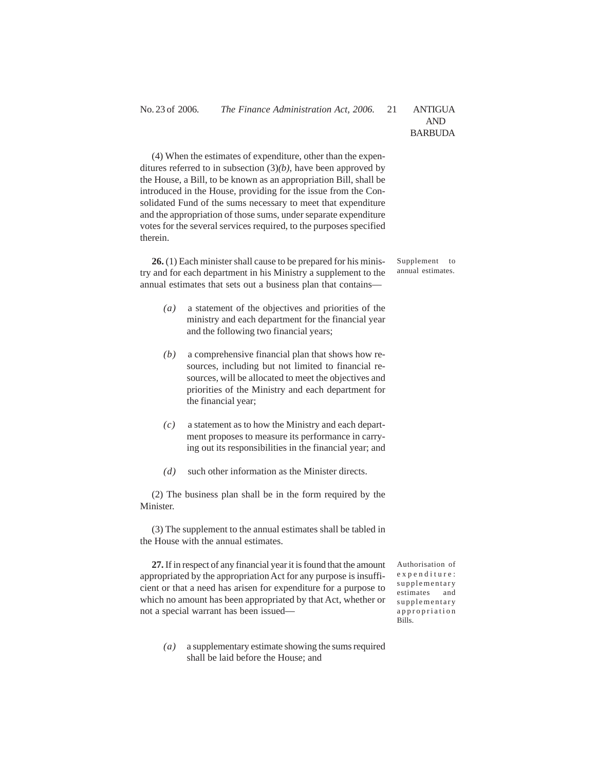# AND BARBUDA

(4) When the estimates of expenditure, other than the expenditures referred to in subsection (3)*(b)*, have been approved by the House, a Bill, to be known as an appropriation Bill, shall be introduced in the House, providing for the issue from the Consolidated Fund of the sums necessary to meet that expenditure and the appropriation of those sums, under separate expenditure votes for the several services required, to the purposes specified therein.

**26.** (1) Each minister shall cause to be prepared for his ministry and for each department in his Ministry a supplement to the annual estimates that sets out a business plan that contains—

- Supplement to annual estimates.
- *(a)* a statement of the objectives and priorities of the ministry and each department for the financial year and the following two financial years;
- *(b)* a comprehensive financial plan that shows how resources, including but not limited to financial resources, will be allocated to meet the objectives and priorities of the Ministry and each department for the financial year;
- *(c)* a statement as to how the Ministry and each department proposes to measure its performance in carrying out its responsibilities in the financial year; and
- *(d)* such other information as the Minister directs.

(2) The business plan shall be in the form required by the Minister.

(3) The supplement to the annual estimates shall be tabled in the House with the annual estimates.

**27.** If in respect of any financial year it is found that the amount appropriated by the appropriation Act for any purpose is insufficient or that a need has arisen for expenditure for a purpose to which no amount has been appropriated by that Act, whether or not a special warrant has been issued—

Authorisation of expenditure: supplementary estimates and supplementary appropriation Bills.

*(a)* a supplementary estimate showing the sums required shall be laid before the House; and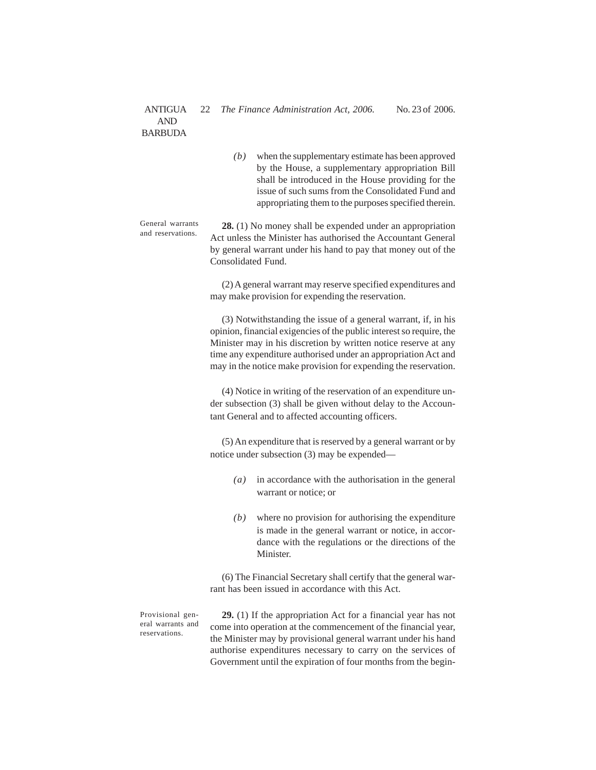#### ANTIGUA 22 The Finance Administration Act, 2006. No. 23 of 2006. AND BARBUDA

*(b)* when the supplementary estimate has been approved by the House, a supplementary appropriation Bill shall be introduced in the House providing for the issue of such sums from the Consolidated Fund and appropriating them to the purposes specified therein.

**28.** (1) No money shall be expended under an appropriation Act unless the Minister has authorised the Accountant General by general warrant under his hand to pay that money out of the Consolidated Fund. General warrants and reservations.

> (2) A general warrant may reserve specified expenditures and may make provision for expending the reservation.

> (3) Notwithstanding the issue of a general warrant, if, in his opinion, financial exigencies of the public interest so require, the Minister may in his discretion by written notice reserve at any time any expenditure authorised under an appropriation Act and may in the notice make provision for expending the reservation.

> (4) Notice in writing of the reservation of an expenditure under subsection (3) shall be given without delay to the Accountant General and to affected accounting officers.

> (5) An expenditure that is reserved by a general warrant or by notice under subsection (3) may be expended—

- *(a)* in accordance with the authorisation in the general warrant or notice; or
- *(b)* where no provision for authorising the expenditure is made in the general warrant or notice, in accordance with the regulations or the directions of the Minister.

(6) The Financial Secretary shall certify that the general warrant has been issued in accordance with this Act.

Provisional general warrants and reservations.

**29.** (1) If the appropriation Act for a financial year has not come into operation at the commencement of the financial year, the Minister may by provisional general warrant under his hand authorise expenditures necessary to carry on the services of Government until the expiration of four months from the begin-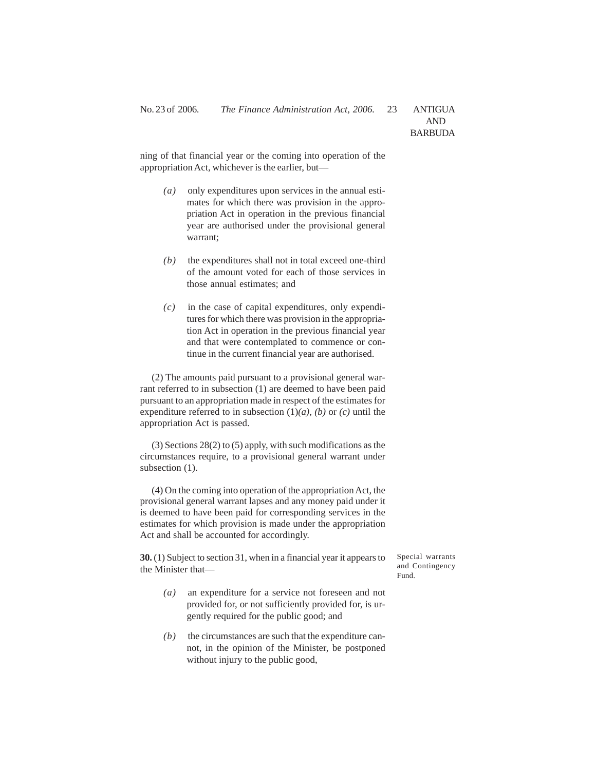ning of that financial year or the coming into operation of the appropriation Act, whichever is the earlier, but—

- *(a)* only expenditures upon services in the annual estimates for which there was provision in the appropriation Act in operation in the previous financial year are authorised under the provisional general warrant;
- *(b)* the expenditures shall not in total exceed one-third of the amount voted for each of those services in those annual estimates; and
- *(c)* in the case of capital expenditures, only expenditures for which there was provision in the appropriation Act in operation in the previous financial year and that were contemplated to commence or continue in the current financial year are authorised.

(2) The amounts paid pursuant to a provisional general warrant referred to in subsection (1) are deemed to have been paid pursuant to an appropriation made in respect of the estimates for expenditure referred to in subsection  $(1)(a)$ ,  $(b)$  or  $(c)$  until the appropriation Act is passed.

(3) Sections 28(2) to (5) apply, with such modifications as the circumstances require, to a provisional general warrant under subsection  $(1)$ .

(4) On the coming into operation of the appropriation Act, the provisional general warrant lapses and any money paid under it is deemed to have been paid for corresponding services in the estimates for which provision is made under the appropriation Act and shall be accounted for accordingly.

**30.** (1) Subject to section 31, when in a financial year it appears to the Minister that—

- Special warrants and Contingency Fund.
- *(a)* an expenditure for a service not foreseen and not provided for, or not sufficiently provided for, is urgently required for the public good; and
- *(b)* the circumstances are such that the expenditure cannot, in the opinion of the Minister, be postponed without injury to the public good,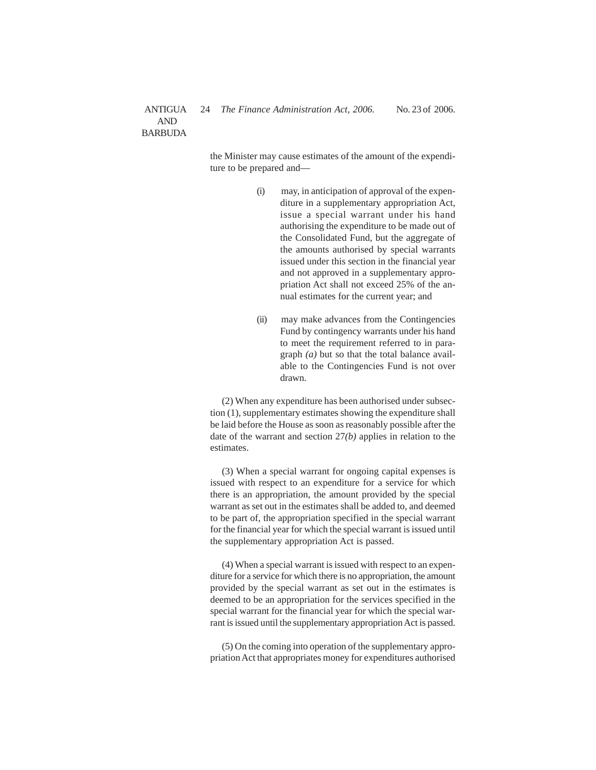the Minister may cause estimates of the amount of the expenditure to be prepared and—

- (i) may, in anticipation of approval of the expenditure in a supplementary appropriation Act, issue a special warrant under his hand authorising the expenditure to be made out of the Consolidated Fund, but the aggregate of the amounts authorised by special warrants issued under this section in the financial year and not approved in a supplementary appropriation Act shall not exceed 25% of the annual estimates for the current year; and
- (ii) may make advances from the Contingencies Fund by contingency warrants under his hand to meet the requirement referred to in paragraph *(a)* but so that the total balance available to the Contingencies Fund is not over drawn.

(2) When any expenditure has been authorised under subsection (1), supplementary estimates showing the expenditure shall be laid before the House as soon as reasonably possible after the date of the warrant and section 27*(b)* applies in relation to the estimates.

(3) When a special warrant for ongoing capital expenses is issued with respect to an expenditure for a service for which there is an appropriation, the amount provided by the special warrant as set out in the estimates shall be added to, and deemed to be part of, the appropriation specified in the special warrant for the financial year for which the special warrant is issued until the supplementary appropriation Act is passed.

(4) When a special warrant is issued with respect to an expenditure for a service for which there is no appropriation, the amount provided by the special warrant as set out in the estimates is deemed to be an appropriation for the services specified in the special warrant for the financial year for which the special warrant is issued until the supplementary appropriation Act is passed.

(5) On the coming into operation of the supplementary appropriation Act that appropriates money for expenditures authorised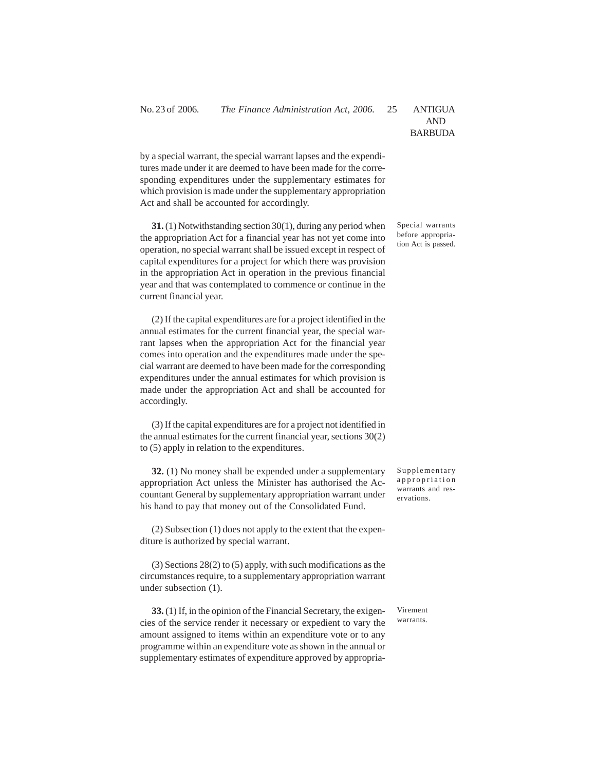# AND BARBUDA

by a special warrant, the special warrant lapses and the expenditures made under it are deemed to have been made for the corresponding expenditures under the supplementary estimates for which provision is made under the supplementary appropriation Act and shall be accounted for accordingly.

**31.** (1) Notwithstanding section 30(1), during any period when the appropriation Act for a financial year has not yet come into operation, no special warrant shall be issued except in respect of capital expenditures for a project for which there was provision in the appropriation Act in operation in the previous financial year and that was contemplated to commence or continue in the current financial year.

(2) If the capital expenditures are for a project identified in the annual estimates for the current financial year, the special warrant lapses when the appropriation Act for the financial year comes into operation and the expenditures made under the special warrant are deemed to have been made for the corresponding expenditures under the annual estimates for which provision is made under the appropriation Act and shall be accounted for accordingly.

(3) If the capital expenditures are for a project not identified in the annual estimates for the current financial year, sections 30(2) to (5) apply in relation to the expenditures.

**32.** (1) No money shall be expended under a supplementary appropriation Act unless the Minister has authorised the Accountant General by supplementary appropriation warrant under his hand to pay that money out of the Consolidated Fund.

(2) Subsection (1) does not apply to the extent that the expenditure is authorized by special warrant.

(3) Sections 28(2) to (5) apply, with such modifications as the circumstances require, to a supplementary appropriation warrant under subsection (1).

**33.** (1) If, in the opinion of the Financial Secretary, the exigencies of the service render it necessary or expedient to vary the amount assigned to items within an expenditure vote or to any programme within an expenditure vote as shown in the annual or supplementary estimates of expenditure approved by appropriaSpecial warrants before appropriation Act is passed.

Supplementary appropriation warrants and reservations.

Virement warrants.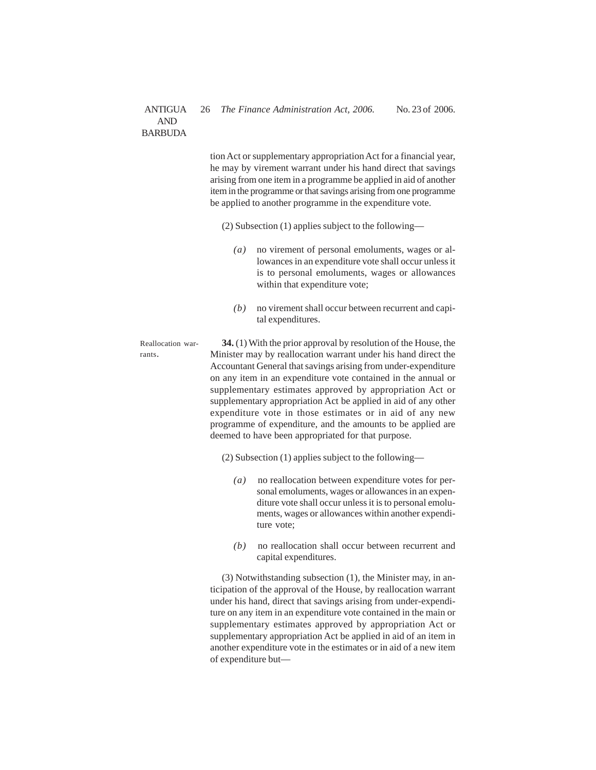#### ANTIGUA 26 The Finance Administration Act, 2006. No. 23 of 2006. AND BARBUDA

tion Act or supplementary appropriation Act for a financial year, he may by virement warrant under his hand direct that savings arising from one item in a programme be applied in aid of another item in the programme or that savings arising from one programme be applied to another programme in the expenditure vote.

(2) Subsection (1) applies subject to the following—

- *(a)* no virement of personal emoluments, wages or allowances in an expenditure vote shall occur unless it is to personal emoluments, wages or allowances within that expenditure vote;
- *(b)* no virement shall occur between recurrent and capital expenditures.

Reallocation warrants.

**34.** (1) With the prior approval by resolution of the House, the Minister may by reallocation warrant under his hand direct the Accountant General that savings arising from under-expenditure on any item in an expenditure vote contained in the annual or supplementary estimates approved by appropriation Act or supplementary appropriation Act be applied in aid of any other expenditure vote in those estimates or in aid of any new programme of expenditure, and the amounts to be applied are deemed to have been appropriated for that purpose.

(2) Subsection (1) applies subject to the following—

- *(a)* no reallocation between expenditure votes for personal emoluments, wages or allowances in an expenditure vote shall occur unless it is to personal emoluments, wages or allowances within another expenditure vote;
- *(b)* no reallocation shall occur between recurrent and capital expenditures.

(3) Notwithstanding subsection (1), the Minister may, in anticipation of the approval of the House, by reallocation warrant under his hand, direct that savings arising from under-expenditure on any item in an expenditure vote contained in the main or supplementary estimates approved by appropriation Act or supplementary appropriation Act be applied in aid of an item in another expenditure vote in the estimates or in aid of a new item of expenditure but—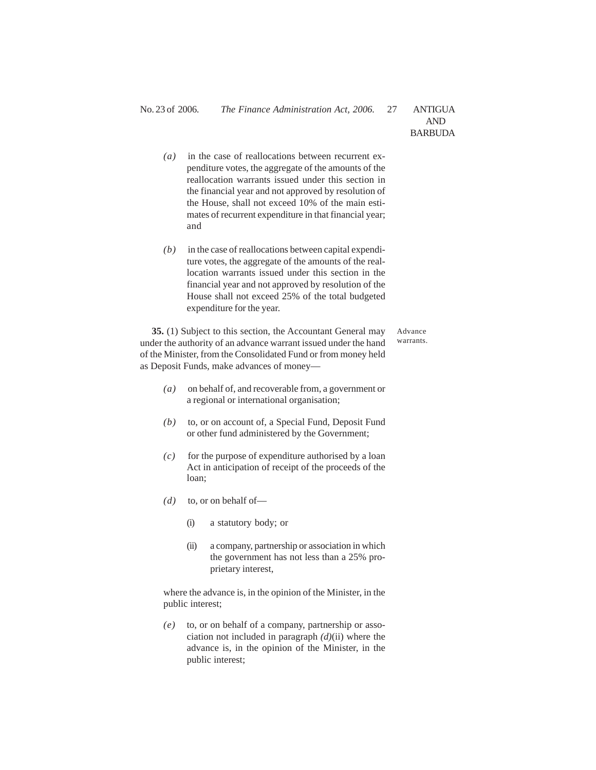- *(a)* in the case of reallocations between recurrent expenditure votes, the aggregate of the amounts of the reallocation warrants issued under this section in the financial year and not approved by resolution of the House, shall not exceed 10% of the main estimates of recurrent expenditure in that financial year; and
- *(b)* in the case of reallocations between capital expenditure votes, the aggregate of the amounts of the reallocation warrants issued under this section in the financial year and not approved by resolution of the House shall not exceed 25% of the total budgeted expenditure for the year.

**35.** (1) Subject to this section, the Accountant General may under the authority of an advance warrant issued under the hand of the Minister, from the Consolidated Fund or from money held as Deposit Funds, make advances of money— Advance warrants.

- *(a)* on behalf of, and recoverable from, a government or a regional or international organisation;
- *(b)* to, or on account of, a Special Fund, Deposit Fund or other fund administered by the Government;
- *(c)* for the purpose of expenditure authorised by a loan Act in anticipation of receipt of the proceeds of the loan;
- $(d)$  to, or on behalf of
	- (i) a statutory body; or
	- (ii) a company, partnership or association in which the government has not less than a 25% proprietary interest,

where the advance is, in the opinion of the Minister, in the public interest;

*(e)* to, or on behalf of a company, partnership or association not included in paragraph *(d)*(ii) where the advance is, in the opinion of the Minister, in the public interest;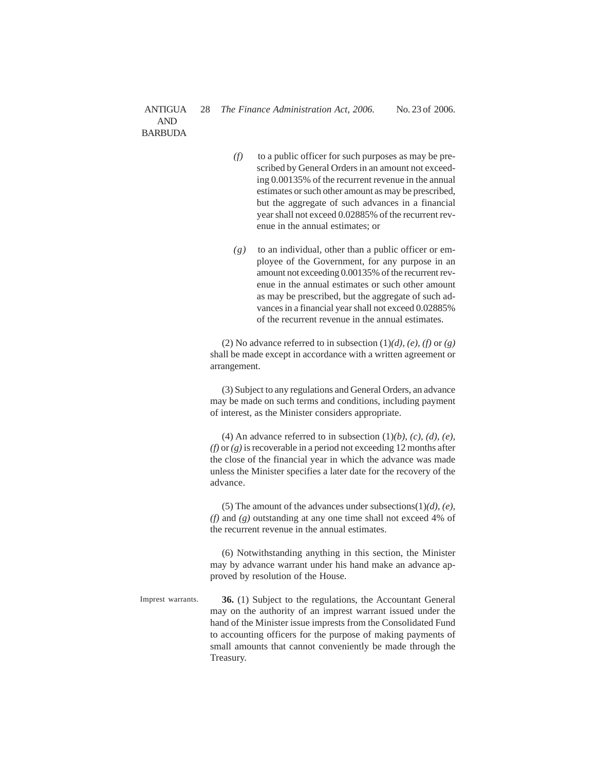## ANTIGUA 28 The Finance Administration Act, 2006. No. 23 of 2006. AND BARBUDA

- *(f)* to a public officer for such purposes as may be prescribed by General Orders in an amount not exceeding 0.00135% of the recurrent revenue in the annual estimates or such other amount as may be prescribed, but the aggregate of such advances in a financial year shall not exceed 0.02885% of the recurrent revenue in the annual estimates; or
- *(g)* to an individual, other than a public officer or employee of the Government, for any purpose in an amount not exceeding 0.00135% of the recurrent revenue in the annual estimates or such other amount as may be prescribed, but the aggregate of such advances in a financial year shall not exceed 0.02885% of the recurrent revenue in the annual estimates.

(2) No advance referred to in subsection  $(1)(d)$ ,  $(e)$ ,  $(f)$  or  $(g)$ shall be made except in accordance with a written agreement or arrangement.

(3) Subject to any regulations and General Orders, an advance may be made on such terms and conditions, including payment of interest, as the Minister considers appropriate.

(4) An advance referred to in subsection (1)*(b), (c), (d), (e), (f)* or *(g)* is recoverable in a period not exceeding 12 months after the close of the financial year in which the advance was made unless the Minister specifies a later date for the recovery of the advance.

(5) The amount of the advances under subsections(1)*(d), (e), (f)* and *(g)* outstanding at any one time shall not exceed 4% of the recurrent revenue in the annual estimates.

(6) Notwithstanding anything in this section, the Minister may by advance warrant under his hand make an advance approved by resolution of the House.

Imprest warrants.

**36.** (1) Subject to the regulations, the Accountant General may on the authority of an imprest warrant issued under the hand of the Minister issue imprests from the Consolidated Fund to accounting officers for the purpose of making payments of small amounts that cannot conveniently be made through the Treasury.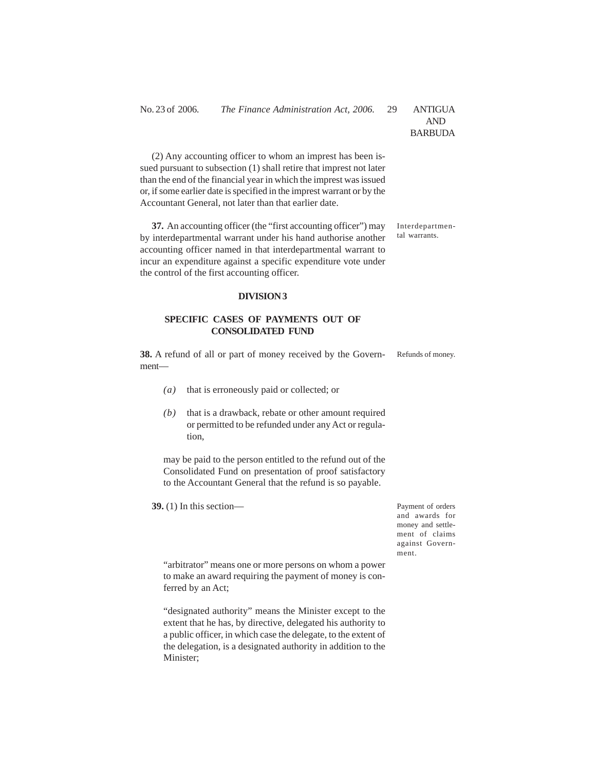| No. 23 of 2006. | The Finance Administration Act, 2006. | ANTIGUA |
|-----------------|---------------------------------------|---------|
|                 |                                       | AND     |

BARBUDA

(2) Any accounting officer to whom an imprest has been issued pursuant to subsection (1) shall retire that imprest not later than the end of the financial year in which the imprest was issued or, if some earlier date is specified in the imprest warrant or by the Accountant General, not later than that earlier date.

**37.** An accounting officer (the "first accounting officer") may by interdepartmental warrant under his hand authorise another accounting officer named in that interdepartmental warrant to incur an expenditure against a specific expenditure vote under the control of the first accounting officer.

Interdepartmental warrants.

## **DIVISION 3**

## **SPECIFIC CASES OF PAYMENTS OUT OF CONSOLIDATED FUND**

**38.** A refund of all or part of money received by the Government— Refunds of money.

- *(a)* that is erroneously paid or collected; or
- *(b)* that is a drawback, rebate or other amount required or permitted to be refunded under any Act or regulation,

may be paid to the person entitled to the refund out of the Consolidated Fund on presentation of proof satisfactory to the Accountant General that the refund is so payable.

**39.** (1) In this section—

Payment of orders and awards for money and settlement of claims against Govern-

"arbitrator" means one or more persons on whom a power to make an award requiring the payment of money is conferred by an Act;

"designated authority" means the Minister except to the extent that he has, by directive, delegated his authority to a public officer, in which case the delegate, to the extent of the delegation, is a designated authority in addition to the Minister;

ment.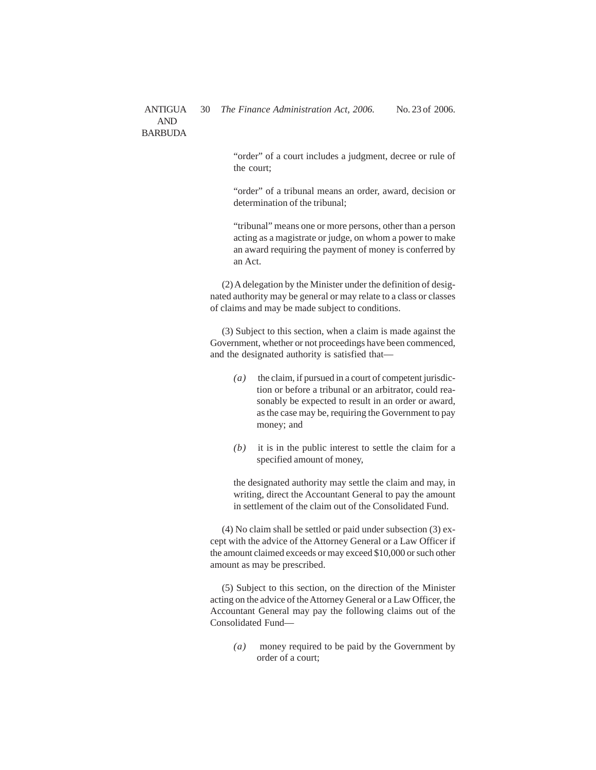## AND BARBUDA

"order" of a court includes a judgment, decree or rule of the court;

"order" of a tribunal means an order, award, decision or determination of the tribunal;

"tribunal" means one or more persons, other than a person acting as a magistrate or judge, on whom a power to make an award requiring the payment of money is conferred by an Act.

(2) A delegation by the Minister under the definition of designated authority may be general or may relate to a class or classes of claims and may be made subject to conditions.

(3) Subject to this section, when a claim is made against the Government, whether or not proceedings have been commenced, and the designated authority is satisfied that—

- *(a)* the claim, if pursued in a court of competent jurisdiction or before a tribunal or an arbitrator, could reasonably be expected to result in an order or award, as the case may be, requiring the Government to pay money; and
- *(b)* it is in the public interest to settle the claim for a specified amount of money,

the designated authority may settle the claim and may, in writing, direct the Accountant General to pay the amount in settlement of the claim out of the Consolidated Fund.

(4) No claim shall be settled or paid under subsection (3) except with the advice of the Attorney General or a Law Officer if the amount claimed exceeds or may exceed \$10,000 or such other amount as may be prescribed.

(5) Subject to this section, on the direction of the Minister acting on the advice of the Attorney General or a Law Officer, the Accountant General may pay the following claims out of the Consolidated Fund—

*(a)* money required to be paid by the Government by order of a court;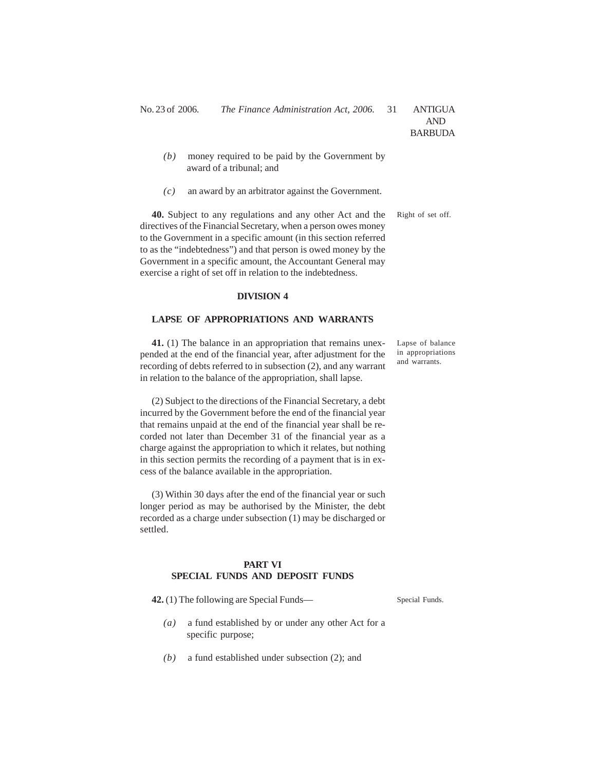- *(b)* money required to be paid by the Government by award of a tribunal; and
- *(c)* an award by an arbitrator against the Government.

**40.** Subject to any regulations and any other Act and the directives of the Financial Secretary, when a person owes money to the Government in a specific amount (in this section referred to as the "indebtedness") and that person is owed money by the Government in a specific amount, the Accountant General may exercise a right of set off in relation to the indebtedness.

#### **DIVISION 4**

#### **LAPSE OF APPROPRIATIONS AND WARRANTS**

**41.** (1) The balance in an appropriation that remains unexpended at the end of the financial year, after adjustment for the recording of debts referred to in subsection (2), and any warrant in relation to the balance of the appropriation, shall lapse.

(2) Subject to the directions of the Financial Secretary, a debt incurred by the Government before the end of the financial year that remains unpaid at the end of the financial year shall be recorded not later than December 31 of the financial year as a charge against the appropriation to which it relates, but nothing in this section permits the recording of a payment that is in excess of the balance available in the appropriation.

(3) Within 30 days after the end of the financial year or such longer period as may be authorised by the Minister, the debt recorded as a charge under subsection (1) may be discharged or settled.

## **PART VI SPECIAL FUNDS AND DEPOSIT FUNDS**

**42.** (1) The following are Special Funds—

Special Funds.

- *(a)* a fund established by or under any other Act for a specific purpose;
- *(b)* a fund established under subsection (2); and

Lapse of balance in appropriations and warrants.

Right of set off.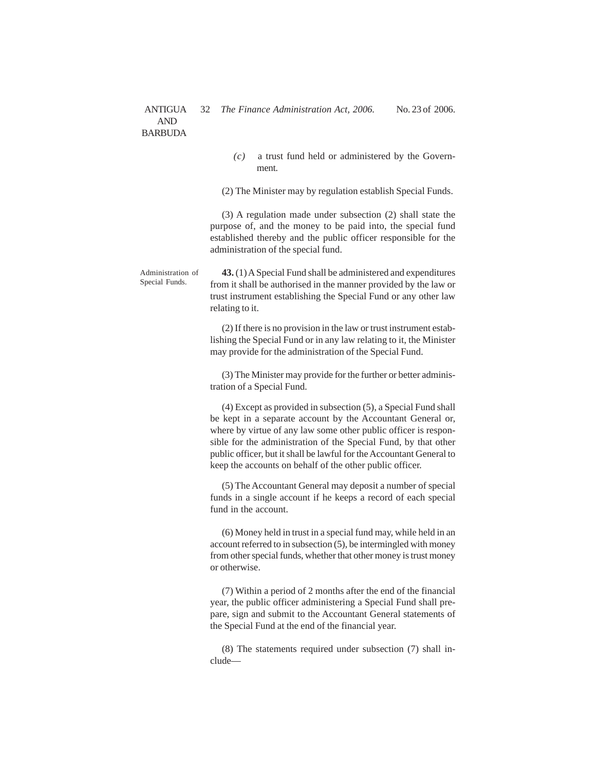*(c)* a trust fund held or administered by the Government.

(2) The Minister may by regulation establish Special Funds.

(3) A regulation made under subsection (2) shall state the purpose of, and the money to be paid into, the special fund established thereby and the public officer responsible for the administration of the special fund.

**43.** (1) A Special Fund shall be administered and expenditures from it shall be authorised in the manner provided by the law or trust instrument establishing the Special Fund or any other law relating to it. Administration of Special Funds.

> (2) If there is no provision in the law or trust instrument establishing the Special Fund or in any law relating to it, the Minister may provide for the administration of the Special Fund.

> (3) The Minister may provide for the further or better administration of a Special Fund.

> (4) Except as provided in subsection (5), a Special Fund shall be kept in a separate account by the Accountant General or, where by virtue of any law some other public officer is responsible for the administration of the Special Fund, by that other public officer, but it shall be lawful for the Accountant General to keep the accounts on behalf of the other public officer.

> (5) The Accountant General may deposit a number of special funds in a single account if he keeps a record of each special fund in the account.

> (6) Money held in trust in a special fund may, while held in an account referred to in subsection (5), be intermingled with money from other special funds, whether that other money is trust money or otherwise.

> (7) Within a period of 2 months after the end of the financial year, the public officer administering a Special Fund shall prepare, sign and submit to the Accountant General statements of the Special Fund at the end of the financial year.

> (8) The statements required under subsection (7) shall include—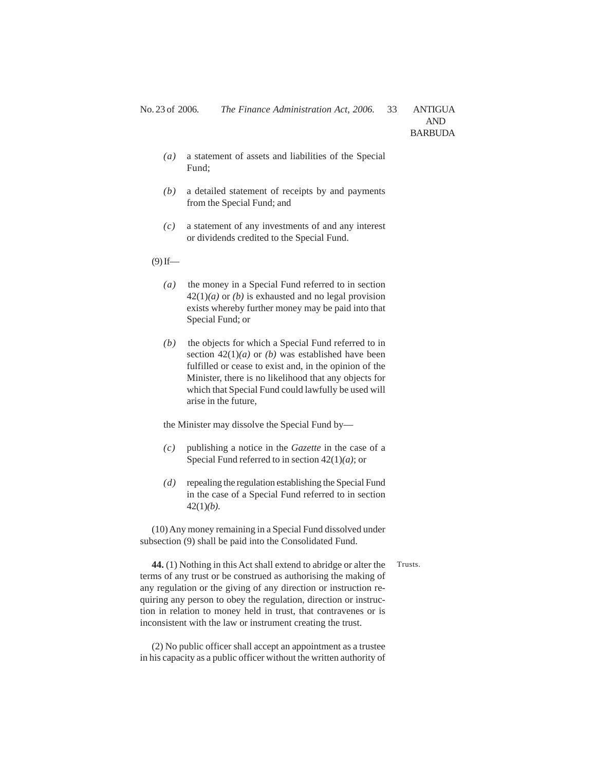BARBUDA

- *(a)* a statement of assets and liabilities of the Special Fund;
- *(b)* a detailed statement of receipts by and payments from the Special Fund; and
- *(c)* a statement of any investments of and any interest or dividends credited to the Special Fund.

 $(9)$  If—

- *(a)* the money in a Special Fund referred to in section  $42(1)(a)$  or *(b)* is exhausted and no legal provision exists whereby further money may be paid into that Special Fund; or
- *(b)* the objects for which a Special Fund referred to in section  $42(1)(a)$  or *(b)* was established have been fulfilled or cease to exist and, in the opinion of the Minister, there is no likelihood that any objects for which that Special Fund could lawfully be used will arise in the future,

the Minister may dissolve the Special Fund by—

- *(c)* publishing a notice in the *Gazette* in the case of a Special Fund referred to in section 42(1)*(a)*; or
- *(d)* repealing the regulation establishing the Special Fund in the case of a Special Fund referred to in section 42(1)*(b)*.

(10) Any money remaining in a Special Fund dissolved under subsection (9) shall be paid into the Consolidated Fund.

**44.** (1) Nothing in this Act shall extend to abridge or alter the terms of any trust or be construed as authorising the making of any regulation or the giving of any direction or instruction requiring any person to obey the regulation, direction or instruction in relation to money held in trust, that contravenes or is inconsistent with the law or instrument creating the trust. Trusts.

(2) No public officer shall accept an appointment as a trustee in his capacity as a public officer without the written authority of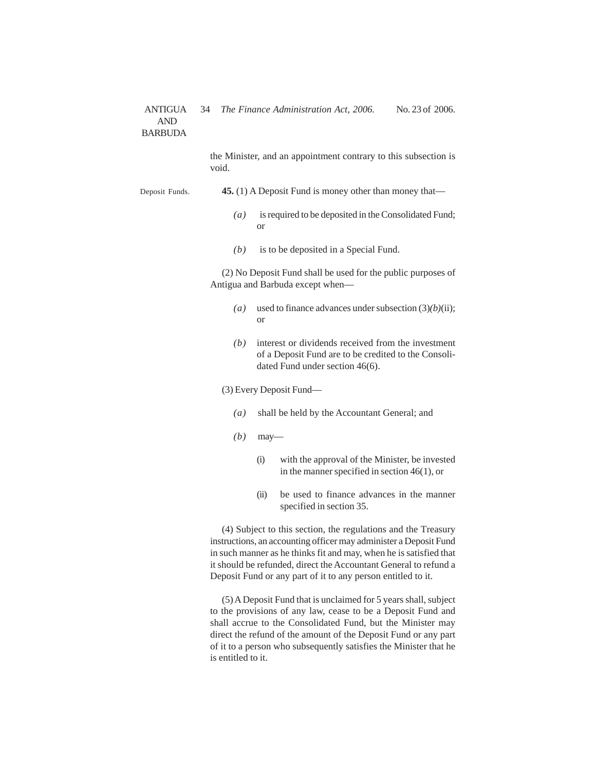the Minister, and an appointment contrary to this subsection is void.

**45.** (1) A Deposit Fund is money other than money that— Deposit Funds.

- *(a)* is required to be deposited in the Consolidated Fund; or
- *(b)* is to be deposited in a Special Fund.

(2) No Deposit Fund shall be used for the public purposes of Antigua and Barbuda except when—

- *(a)* used to finance advances under subsection (3)*(b)*(ii); or
- *(b)* interest or dividends received from the investment of a Deposit Fund are to be credited to the Consolidated Fund under section 46(6).

(3) Every Deposit Fund—

- *(a)* shall be held by the Accountant General; and
- *(b)* may—
	- (i) with the approval of the Minister, be invested in the manner specified in section 46(1), or
	- (ii) be used to finance advances in the manner specified in section 35.

(4) Subject to this section, the regulations and the Treasury instructions, an accounting officer may administer a Deposit Fund in such manner as he thinks fit and may, when he is satisfied that it should be refunded, direct the Accountant General to refund a Deposit Fund or any part of it to any person entitled to it.

(5) A Deposit Fund that is unclaimed for 5 years shall, subject to the provisions of any law, cease to be a Deposit Fund and shall accrue to the Consolidated Fund, but the Minister may direct the refund of the amount of the Deposit Fund or any part of it to a person who subsequently satisfies the Minister that he is entitled to it.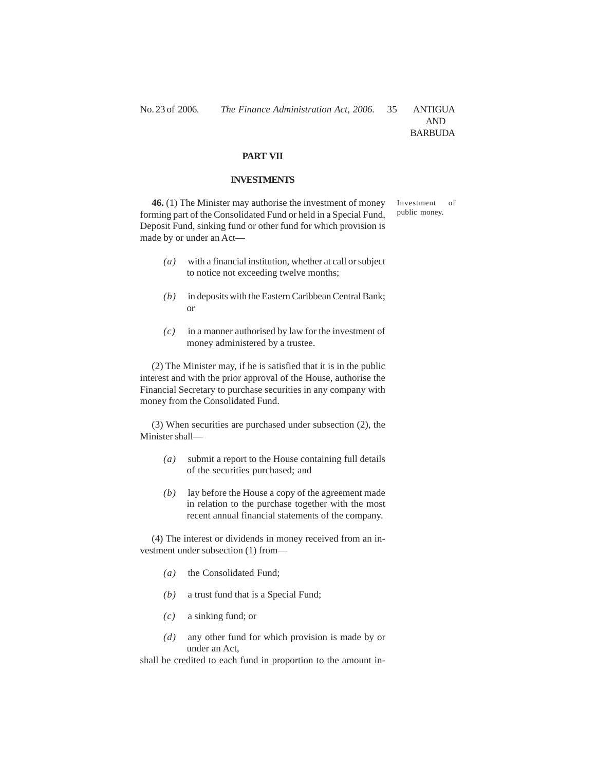AND BARBUDA

#### **PART VII**

#### **INVESTMENTS**

**46.** (1) The Minister may authorise the investment of money forming part of the Consolidated Fund or held in a Special Fund, Deposit Fund, sinking fund or other fund for which provision is made by or under an Act— Investment of public money.

- *(a)* with a financial institution, whether at call or subject to notice not exceeding twelve months;
- *(b)* in deposits with the Eastern Caribbean Central Bank; or
- *(c)* in a manner authorised by law for the investment of money administered by a trustee.

(2) The Minister may, if he is satisfied that it is in the public interest and with the prior approval of the House, authorise the Financial Secretary to purchase securities in any company with money from the Consolidated Fund.

(3) When securities are purchased under subsection (2), the Minister shall—

- *(a)* submit a report to the House containing full details of the securities purchased; and
- *(b)* lay before the House a copy of the agreement made in relation to the purchase together with the most recent annual financial statements of the company.

(4) The interest or dividends in money received from an investment under subsection (1) from—

- *(a)* the Consolidated Fund;
- *(b)* a trust fund that is a Special Fund;
- *(c)* a sinking fund; or
- *(d)* any other fund for which provision is made by or under an Act,

shall be credited to each fund in proportion to the amount in-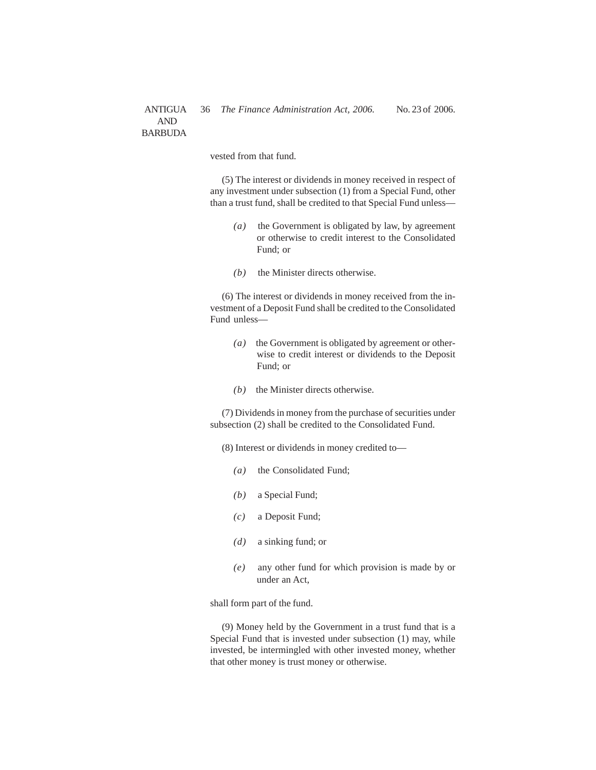vested from that fund.

(5) The interest or dividends in money received in respect of any investment under subsection (1) from a Special Fund, other than a trust fund, shall be credited to that Special Fund unless—

- *(a)* the Government is obligated by law, by agreement or otherwise to credit interest to the Consolidated Fund; or
- *(b)* the Minister directs otherwise.

(6) The interest or dividends in money received from the investment of a Deposit Fund shall be credited to the Consolidated Fund unless—

- *(a)* the Government is obligated by agreement or otherwise to credit interest or dividends to the Deposit Fund; or
- *(b)* the Minister directs otherwise.

(7) Dividends in money from the purchase of securities under subsection (2) shall be credited to the Consolidated Fund.

(8) Interest or dividends in money credited to—

- *(a)* the Consolidated Fund;
- *(b)* a Special Fund;
- *(c)* a Deposit Fund;
- *(d)* a sinking fund; or
- *(e)* any other fund for which provision is made by or under an Act,

shall form part of the fund.

(9) Money held by the Government in a trust fund that is a Special Fund that is invested under subsection (1) may, while invested, be intermingled with other invested money, whether that other money is trust money or otherwise.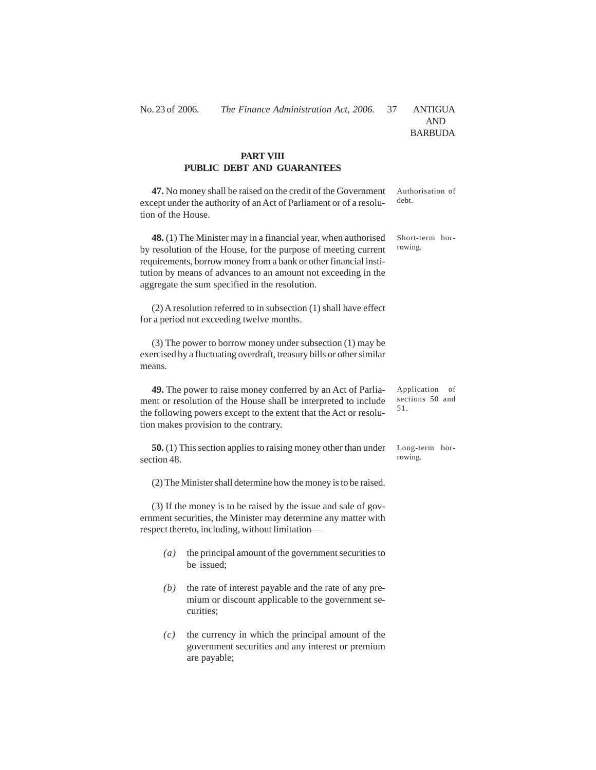| No. 23 of 2006.                                                                                                                                                                                                                                                                                                                                      | The Finance Administration Act, 2006.<br>37                                                                                                                                         | <b>ANTIGUA</b><br><b>AND</b><br><b>BARBUDA</b> |  |  |  |
|------------------------------------------------------------------------------------------------------------------------------------------------------------------------------------------------------------------------------------------------------------------------------------------------------------------------------------------------------|-------------------------------------------------------------------------------------------------------------------------------------------------------------------------------------|------------------------------------------------|--|--|--|
| <b>PART VIII</b><br>PUBLIC DEBT AND GUARANTEES                                                                                                                                                                                                                                                                                                       |                                                                                                                                                                                     |                                                |  |  |  |
| 47. No money shall be raised on the credit of the Government<br>Authorisation of<br>debt.<br>except under the authority of an Act of Parliament or of a resolu-<br>tion of the House.                                                                                                                                                                |                                                                                                                                                                                     |                                                |  |  |  |
| 48. (1) The Minister may in a financial year, when authorised<br>Short-term bor-<br>rowing.<br>by resolution of the House, for the purpose of meeting current<br>requirements, borrow money from a bank or other financial insti-<br>tution by means of advances to an amount not exceeding in the<br>aggregate the sum specified in the resolution. |                                                                                                                                                                                     |                                                |  |  |  |
|                                                                                                                                                                                                                                                                                                                                                      | $(2)$ A resolution referred to in subsection $(1)$ shall have effect<br>for a period not exceeding twelve months.                                                                   |                                                |  |  |  |
| means.                                                                                                                                                                                                                                                                                                                                               | (3) The power to borrow money under subsection (1) may be<br>exercised by a fluctuating overdraft, treasury bills or other similar                                                  |                                                |  |  |  |
| 49. The power to raise money conferred by an Act of Parlia-<br>Application<br>οf<br>sections 50 and<br>ment or resolution of the House shall be interpreted to include<br>51.<br>the following powers except to the extent that the Act or resolu-<br>tion makes provision to the contrary.                                                          |                                                                                                                                                                                     |                                                |  |  |  |
| <b>50.</b> (1) This section applies to raising money other than under<br>Long-term bor-<br>rowing.<br>section 48.                                                                                                                                                                                                                                    |                                                                                                                                                                                     |                                                |  |  |  |
| (2) The Minister shall determine how the money is to be raised.                                                                                                                                                                                                                                                                                      |                                                                                                                                                                                     |                                                |  |  |  |
|                                                                                                                                                                                                                                                                                                                                                      | (3) If the money is to be raised by the issue and sale of gov-<br>ernment securities, the Minister may determine any matter with<br>respect thereto, including, without limitation- |                                                |  |  |  |
| $\left( a\right)$                                                                                                                                                                                                                                                                                                                                    | the principal amount of the government securities to<br>be issued:                                                                                                                  |                                                |  |  |  |
| (b)                                                                                                                                                                                                                                                                                                                                                  | the rate of interest payable and the rate of any pre-<br>mium or discount applicable to the government se-<br>curities;                                                             |                                                |  |  |  |
| (c)                                                                                                                                                                                                                                                                                                                                                  | the currency in which the principal amount of the<br>government securities and any interest or premium<br>are payable;                                                              |                                                |  |  |  |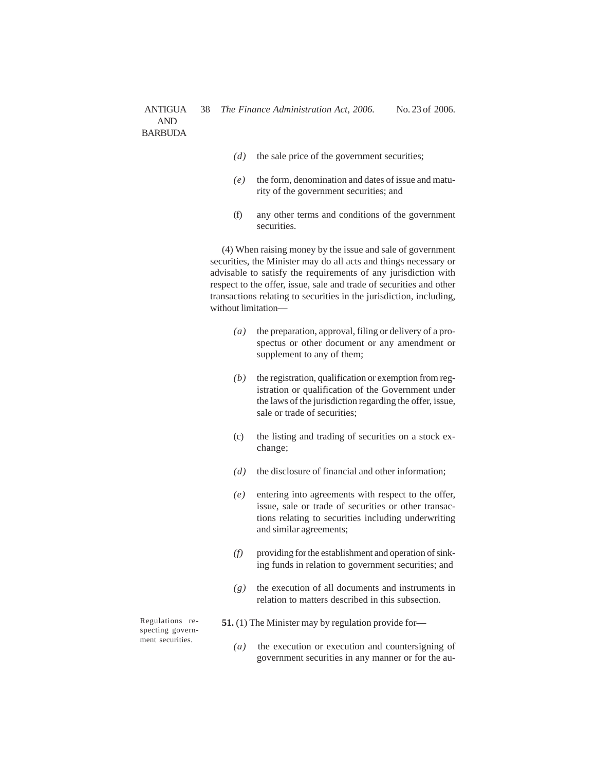- *(d)* the sale price of the government securities;
- *(e)* the form, denomination and dates of issue and maturity of the government securities; and
- (f) any other terms and conditions of the government securities.

(4) When raising money by the issue and sale of government securities, the Minister may do all acts and things necessary or advisable to satisfy the requirements of any jurisdiction with respect to the offer, issue, sale and trade of securities and other transactions relating to securities in the jurisdiction, including, without limitation—

- *(a)* the preparation, approval, filing or delivery of a prospectus or other document or any amendment or supplement to any of them;
- *(b)* the registration, qualification or exemption from registration or qualification of the Government under the laws of the jurisdiction regarding the offer, issue, sale or trade of securities;
- (c) the listing and trading of securities on a stock exchange;
- *(d)* the disclosure of financial and other information;
- *(e)* entering into agreements with respect to the offer, issue, sale or trade of securities or other transactions relating to securities including underwriting and similar agreements;
- *(f)* providing for the establishment and operation of sinking funds in relation to government securities; and
- *(g)* the execution of all documents and instruments in relation to matters described in this subsection.

Regulations respecting government securities.

- **51.** (1) The Minister may by regulation provide for—
	- *(a)* the execution or execution and countersigning of government securities in any manner or for the au-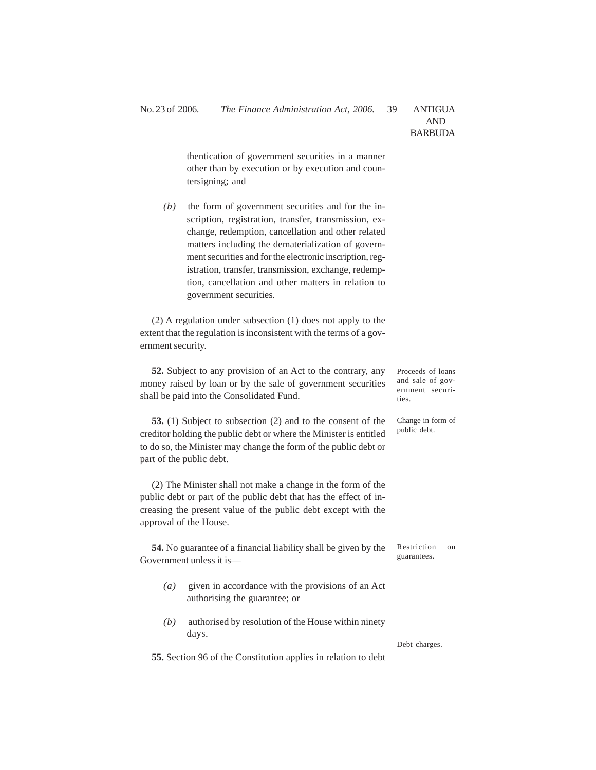thentication of government securities in a manner other than by execution or by execution and countersigning; and

*(b)* the form of government securities and for the inscription, registration, transfer, transmission, exchange, redemption, cancellation and other related matters including the dematerialization of government securities and for the electronic inscription, registration, transfer, transmission, exchange, redemption, cancellation and other matters in relation to government securities.

(2) A regulation under subsection (1) does not apply to the extent that the regulation is inconsistent with the terms of a government security.

**52.** Subject to any provision of an Act to the contrary, any money raised by loan or by the sale of government securities shall be paid into the Consolidated Fund. Proceeds of loans and sale of government securities.

**53.** (1) Subject to subsection (2) and to the consent of the creditor holding the public debt or where the Minister is entitled to do so, the Minister may change the form of the public debt or part of the public debt.

(2) The Minister shall not make a change in the form of the public debt or part of the public debt that has the effect of increasing the present value of the public debt except with the approval of the House.

**54.** No guarantee of a financial liability shall be given by the Government unless it is— Restriction on guarantees.

- *(a)* given in accordance with the provisions of an Act authorising the guarantee; or
- *(b)* authorised by resolution of the House within ninety days.

Debt charges.

Change in form of public debt.

**55.** Section 96 of the Constitution applies in relation to debt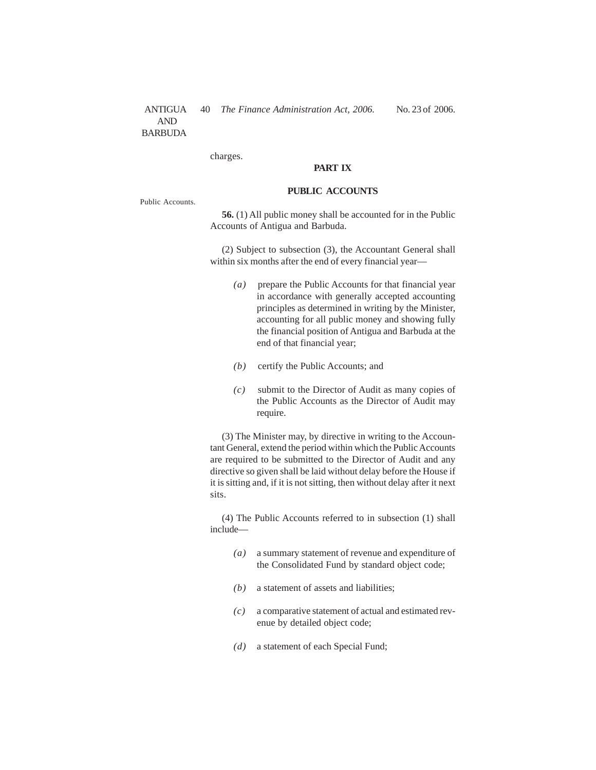ANTIGUA 40 The Finance Administration Act, 2006. No. 23 of 2006. AND BARBUDA

charges.

### **PART IX**

## **PUBLIC ACCOUNTS**

Public Accounts.

**56.** (1) All public money shall be accounted for in the Public Accounts of Antigua and Barbuda.

(2) Subject to subsection (3), the Accountant General shall within six months after the end of every financial year—

- *(a)* prepare the Public Accounts for that financial year in accordance with generally accepted accounting principles as determined in writing by the Minister, accounting for all public money and showing fully the financial position of Antigua and Barbuda at the end of that financial year;
- *(b)* certify the Public Accounts; and
- *(c)* submit to the Director of Audit as many copies of the Public Accounts as the Director of Audit may require.

(3) The Minister may, by directive in writing to the Accountant General, extend the period within which the Public Accounts are required to be submitted to the Director of Audit and any directive so given shall be laid without delay before the House if it is sitting and, if it is not sitting, then without delay after it next sits.

(4) The Public Accounts referred to in subsection (1) shall include—

- *(a)* a summary statement of revenue and expenditure of the Consolidated Fund by standard object code;
- *(b)* a statement of assets and liabilities;
- *(c)* a comparative statement of actual and estimated revenue by detailed object code;
- *(d)* a statement of each Special Fund;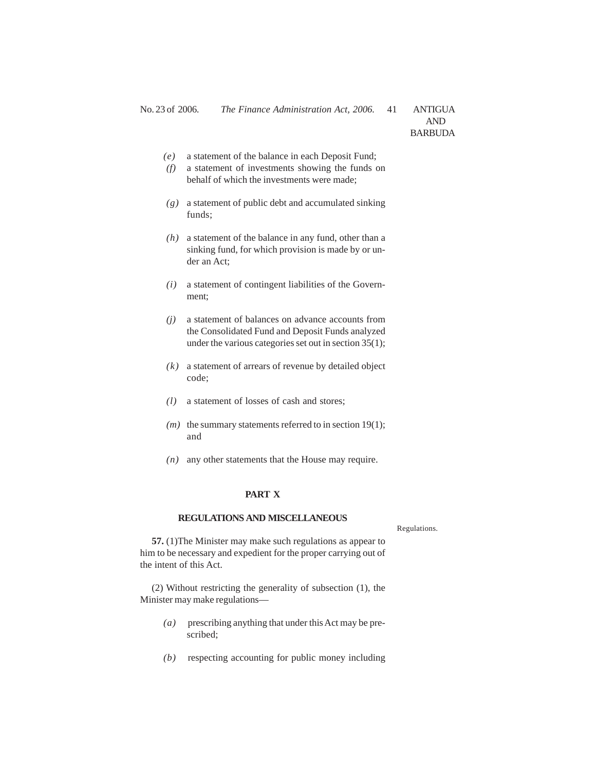- *(e)* a statement of the balance in each Deposit Fund;
- *(f)* a statement of investments showing the funds on behalf of which the investments were made;
- *(g)* a statement of public debt and accumulated sinking funds;
- *(h)* a statement of the balance in any fund, other than a sinking fund, for which provision is made by or under an Act;
- *(i)* a statement of contingent liabilities of the Government;
- *(j)* a statement of balances on advance accounts from the Consolidated Fund and Deposit Funds analyzed under the various categories set out in section 35(1);
- *(k)* a statement of arrears of revenue by detailed object code;
- *(l)* a statement of losses of cash and stores;
- *(m)* the summary statements referred to in section 19(1); and
- *(n)* any other statements that the House may require.

#### **PART X**

## **REGULATIONS AND MISCELLANEOUS**

Regulations.

**57.** (1)The Minister may make such regulations as appear to him to be necessary and expedient for the proper carrying out of the intent of this Act.

(2) Without restricting the generality of subsection (1), the Minister may make regulations—

- *(a)* prescribing anything that under this Act may be prescribed;
- *(b)* respecting accounting for public money including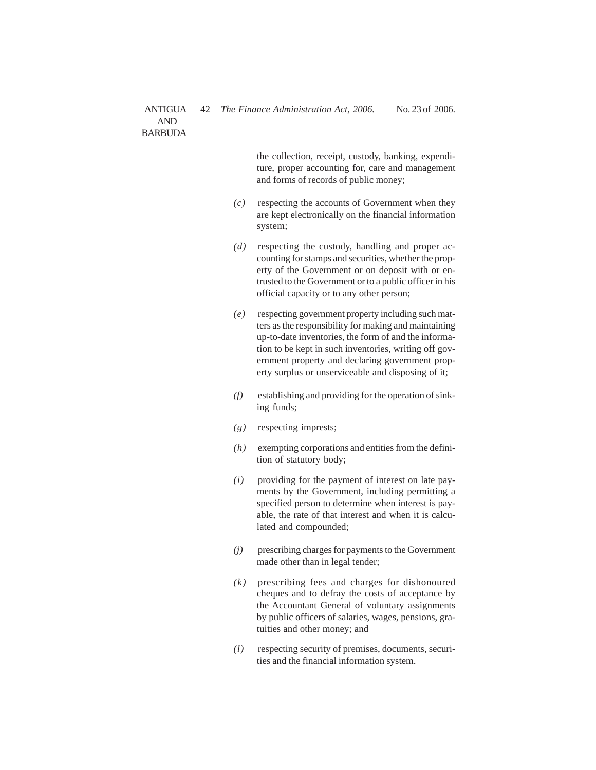#### AND BARBUDA

the collection, receipt, custody, banking, expenditure, proper accounting for, care and management and forms of records of public money;

- *(c)* respecting the accounts of Government when they are kept electronically on the financial information system;
- *(d)* respecting the custody, handling and proper accounting for stamps and securities, whether the property of the Government or on deposit with or entrusted to the Government or to a public officer in his official capacity or to any other person;
- *(e)* respecting government property including such matters as the responsibility for making and maintaining up-to-date inventories, the form of and the information to be kept in such inventories, writing off government property and declaring government property surplus or unserviceable and disposing of it;
- *(f)* establishing and providing for the operation of sinking funds;
- *(g)* respecting imprests;
- *(h)* exempting corporations and entities from the definition of statutory body;
- *(i)* providing for the payment of interest on late payments by the Government, including permitting a specified person to determine when interest is payable, the rate of that interest and when it is calculated and compounded;
- *(j)* prescribing charges for payments to the Government made other than in legal tender;
- *(k)* prescribing fees and charges for dishonoured cheques and to defray the costs of acceptance by the Accountant General of voluntary assignments by public officers of salaries, wages, pensions, gratuities and other money; and
- *(l)* respecting security of premises, documents, securities and the financial information system.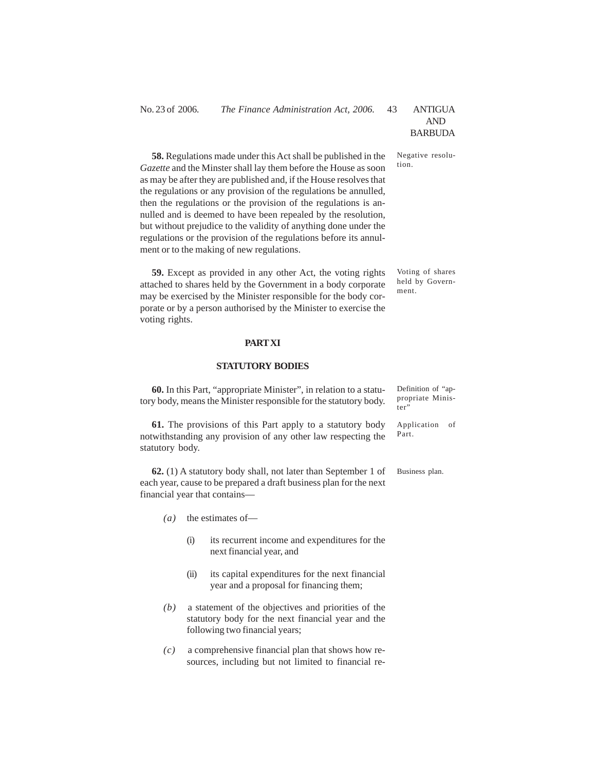# BARBUDA

Negative resolution.

**58.** Regulations made under this Act shall be published in the *Gazette* and the Minster shall lay them before the House as soon as may be after they are published and, if the House resolves that the regulations or any provision of the regulations be annulled, then the regulations or the provision of the regulations is annulled and is deemed to have been repealed by the resolution, but without prejudice to the validity of anything done under the regulations or the provision of the regulations before its annulment or to the making of new regulations.

**59.** Except as provided in any other Act, the voting rights attached to shares held by the Government in a body corporate may be exercised by the Minister responsible for the body corporate or by a person authorised by the Minister to exercise the voting rights.

#### Voting of shares held by Government.

## **PART XI**

#### **STATUTORY BODIES**

| <b>60.</b> In this Part, "appropriate Minister", in relation to a statu-<br>tory body, means the Minister responsible for the statutory body. | Definition of "ap-<br>propriate Minis-<br>ter" |  |
|-----------------------------------------------------------------------------------------------------------------------------------------------|------------------------------------------------|--|
| 61. The provisions of this Part apply to a statutory body<br>notwithstanding any provision of any other law respecting the<br>statutory body. | Application of<br>Part.                        |  |

**62.** (1) A statutory body shall, not later than September 1 of each year, cause to be prepared a draft business plan for the next financial year that contains— Business plan.

- *(a)* the estimates of—
	- (i) its recurrent income and expenditures for the next financial year, and
	- (ii) its capital expenditures for the next financial year and a proposal for financing them;
- *(b)* a statement of the objectives and priorities of the statutory body for the next financial year and the following two financial years;
- *(c)* a comprehensive financial plan that shows how resources, including but not limited to financial re-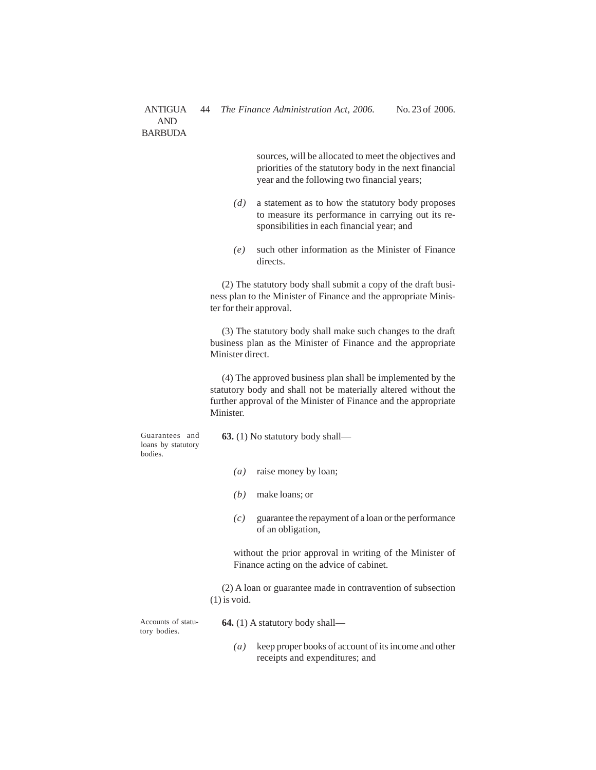sources, will be allocated to meet the objectives and priorities of the statutory body in the next financial year and the following two financial years;

- *(d)* a statement as to how the statutory body proposes to measure its performance in carrying out its responsibilities in each financial year; and
- *(e)* such other information as the Minister of Finance directs.

(2) The statutory body shall submit a copy of the draft business plan to the Minister of Finance and the appropriate Minister for their approval.

(3) The statutory body shall make such changes to the draft business plan as the Minister of Finance and the appropriate Minister direct.

(4) The approved business plan shall be implemented by the statutory body and shall not be materially altered without the further approval of the Minister of Finance and the appropriate Minister.

Guarantees and loans by statutory bodies.

**63.** (1) No statutory body shall—

- *(a)* raise money by loan;
- *(b)* make loans; or
- *(c)* guarantee the repayment of a loan or the performance of an obligation,

without the prior approval in writing of the Minister of Finance acting on the advice of cabinet.

(2) A loan or guarantee made in contravention of subsection (1) is void.

Accounts of statutory bodies.

- **64.** (1) A statutory body shall—
	- *(a)* keep proper books of account of its income and other receipts and expenditures; and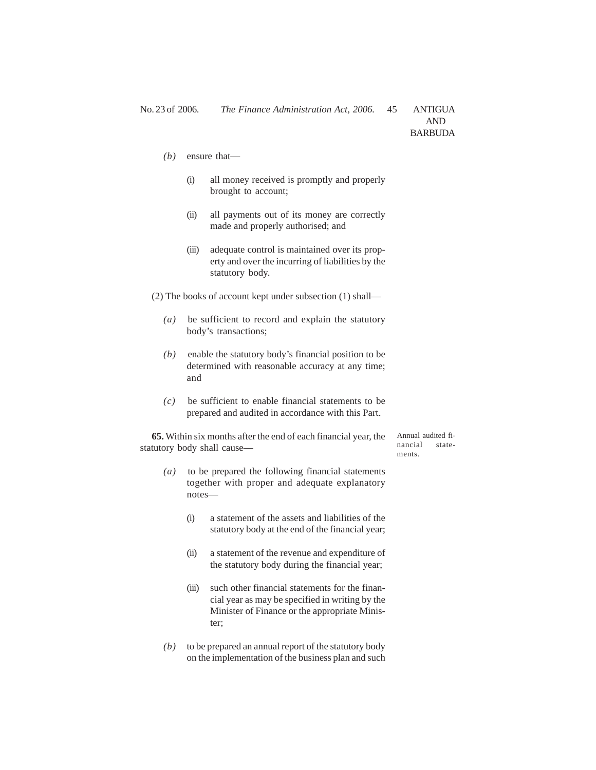- *(b)* ensure that—
	- (i) all money received is promptly and properly brought to account;
	- (ii) all payments out of its money are correctly made and properly authorised; and
	- (iii) adequate control is maintained over its property and over the incurring of liabilities by the statutory body.

(2) The books of account kept under subsection (1) shall—

- *(a)* be sufficient to record and explain the statutory body's transactions;
- *(b)* enable the statutory body's financial position to be determined with reasonable accuracy at any time; and
- *(c)* be sufficient to enable financial statements to be prepared and audited in accordance with this Part.

**65.** Within six months after the end of each financial year, the statutory body shall cause—

Annual audited financial statements.

- *(a)* to be prepared the following financial statements together with proper and adequate explanatory notes—
	- (i) a statement of the assets and liabilities of the statutory body at the end of the financial year;
	- (ii) a statement of the revenue and expenditure of the statutory body during the financial year;
	- (iii) such other financial statements for the financial year as may be specified in writing by the Minister of Finance or the appropriate Minister;
- *(b)* to be prepared an annual report of the statutory body on the implementation of the business plan and such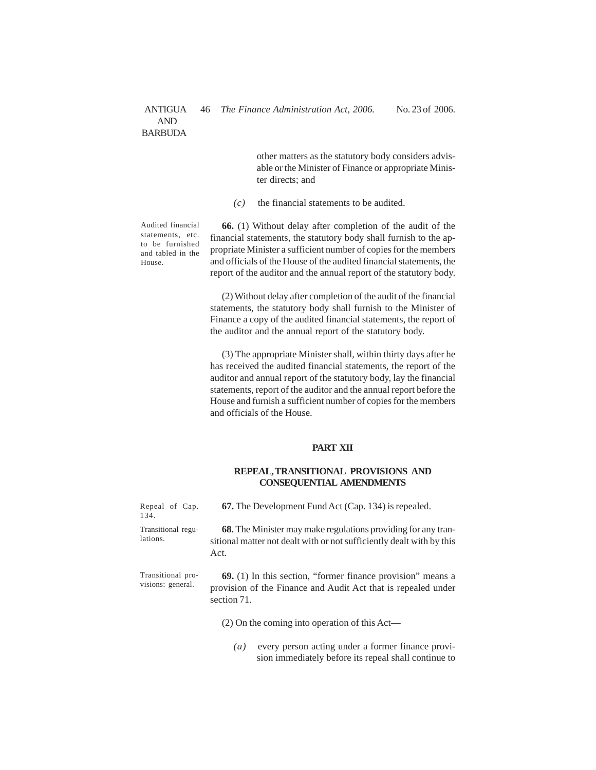### AND BARBUDA

other matters as the statutory body considers advisable or the Minister of Finance or appropriate Minister directs; and

*(c)* the financial statements to be audited.

Audited financial statements, etc. to be furnished and tabled in the House.

**66.** (1) Without delay after completion of the audit of the financial statements, the statutory body shall furnish to the appropriate Minister a sufficient number of copies for the members and officials of the House of the audited financial statements, the report of the auditor and the annual report of the statutory body.

(2) Without delay after completion of the audit of the financial statements, the statutory body shall furnish to the Minister of Finance a copy of the audited financial statements, the report of the auditor and the annual report of the statutory body.

(3) The appropriate Minister shall, within thirty days after he has received the audited financial statements, the report of the auditor and annual report of the statutory body, lay the financial statements, report of the auditor and the annual report before the House and furnish a sufficient number of copies for the members and officials of the House.

#### **PART XII**

## **REPEAL, TRANSITIONAL PROVISIONS AND CONSEQUENTIAL AMENDMENTS**

| Repeal of Cap.<br>134.                 | <b>67.</b> The Development Fund Act (Cap. 134) is repealed.                                                                                           |
|----------------------------------------|-------------------------------------------------------------------------------------------------------------------------------------------------------|
| Transitional regu-<br>lations.         | <b>68.</b> The Minister may make regulations providing for any tran-<br>sitional matter not dealt with or not sufficiently dealt with by this<br>Act. |
| Transitional pro-<br>visions: general. | <b>69.</b> (1) In this section, "former finance provision" means a<br>provision of the Finance and Audit Act that is repealed under<br>section 71.    |
|                                        | $(2)$ On the coming into operation of this Act—                                                                                                       |

*(a)* every person acting under a former finance provision immediately before its repeal shall continue to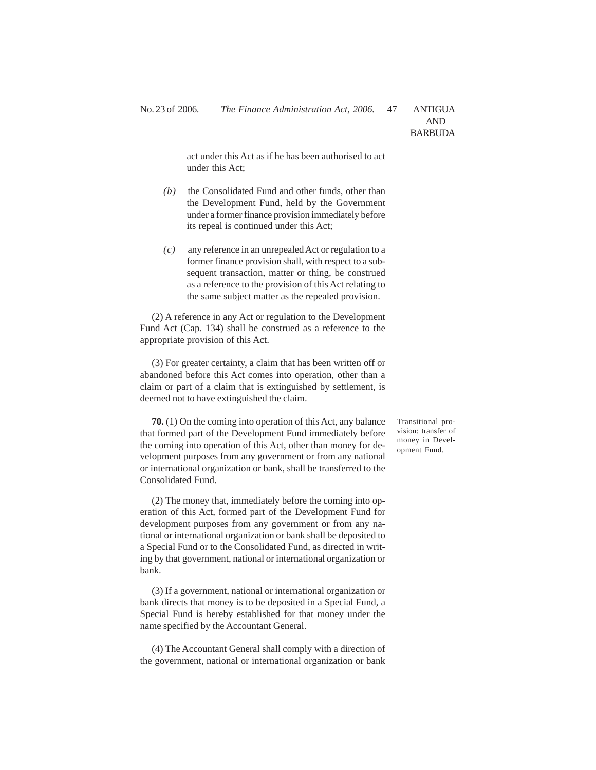act under this Act as if he has been authorised to act under this Act;

- *(b)* the Consolidated Fund and other funds, other than the Development Fund, held by the Government under a former finance provision immediately before its repeal is continued under this Act;
- *(c)* any reference in an unrepealed Act or regulation to a former finance provision shall, with respect to a subsequent transaction, matter or thing, be construed as a reference to the provision of this Act relating to the same subject matter as the repealed provision.

(2) A reference in any Act or regulation to the Development Fund Act (Cap. 134) shall be construed as a reference to the appropriate provision of this Act.

(3) For greater certainty, a claim that has been written off or abandoned before this Act comes into operation, other than a claim or part of a claim that is extinguished by settlement, is deemed not to have extinguished the claim.

**70.** (1) On the coming into operation of this Act, any balance that formed part of the Development Fund immediately before the coming into operation of this Act, other than money for development purposes from any government or from any national or international organization or bank, shall be transferred to the Consolidated Fund.

(2) The money that, immediately before the coming into operation of this Act, formed part of the Development Fund for development purposes from any government or from any national or international organization or bank shall be deposited to a Special Fund or to the Consolidated Fund, as directed in writing by that government, national or international organization or bank.

(3) If a government, national or international organization or bank directs that money is to be deposited in a Special Fund, a Special Fund is hereby established for that money under the name specified by the Accountant General.

(4) The Accountant General shall comply with a direction of the government, national or international organization or bank Transitional provision: transfer of money in Development Fund.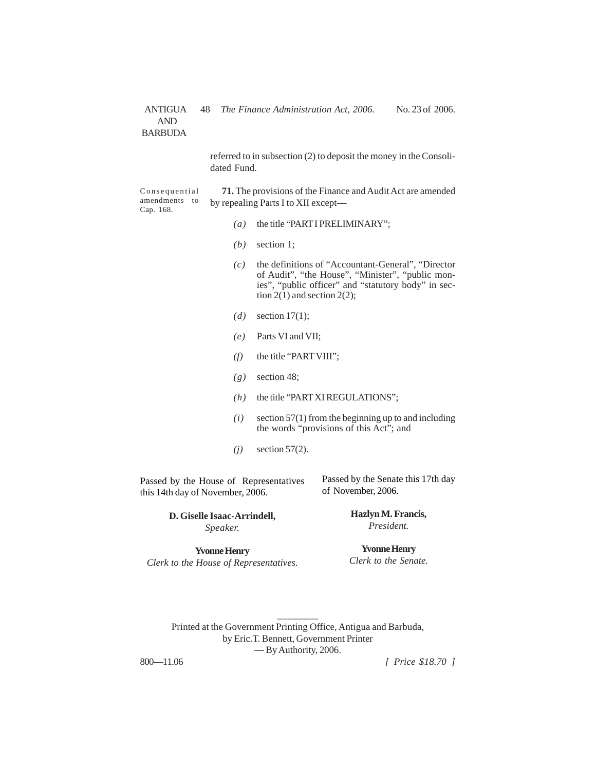## ANTIGUA 48 The Finance Administration Act, 2006. No. 23 of 2006. AND

BARBUDA

referred to in subsection (2) to deposit the money in the Consolidated Fund.

Consequential amendments to Cap. 168.

**71.** The provisions of the Finance and Audit Act are amended by repealing Parts I to XII except—

- *(a)* the title "PART I PRELIMINARY";
- *(b)* section 1;
- *(c)* the definitions of "Accountant-General", "Director of Audit", "the House", "Minister", "public monies", "public officer" and "statutory body" in section  $2(1)$  and section  $2(2)$ ;
- *(d)* section 17(1);
- *(e)* Parts VI and VII;
- *(f)* the title "PART VIII";
- *(g)* section 48;
- *(h)* the title "PART XI REGULATIONS";
- *(i)* section 57(1) from the beginning up to and including the words "provisions of this Act"; and
- *(j)* section 57(2).

Passed by the House of Representatives this 14th day of November, 2006.

Passed by the Senate this 17th day of November, 2006.

**D. Giselle Isaac-Arrindell,** *Speaker.*

**Hazlyn M. Francis,** *President.*

**Yvonne Henry** *Clerk to the House of Representatives.*

**Yvonne Henry** *Clerk to the Senate.*

Printed at the Government Printing Office, Antigua and Barbuda, by Eric.T. Bennett, Government Printer — By Authority, 2006.

\_\_\_\_\_\_\_\_

800—11.06 *[ Price \$18.70 ]*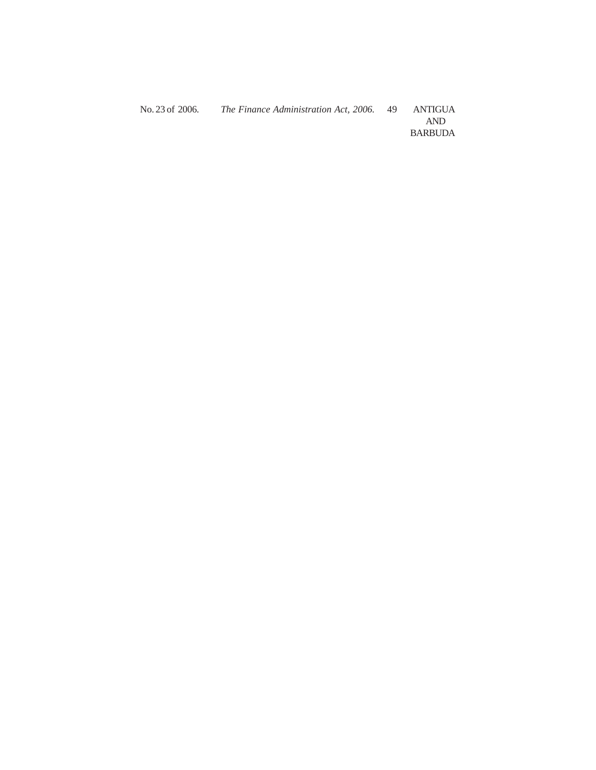No. 23 of 2006. The Finance Administration Act, 2006. 49 ANTIGUA AND BARBUDA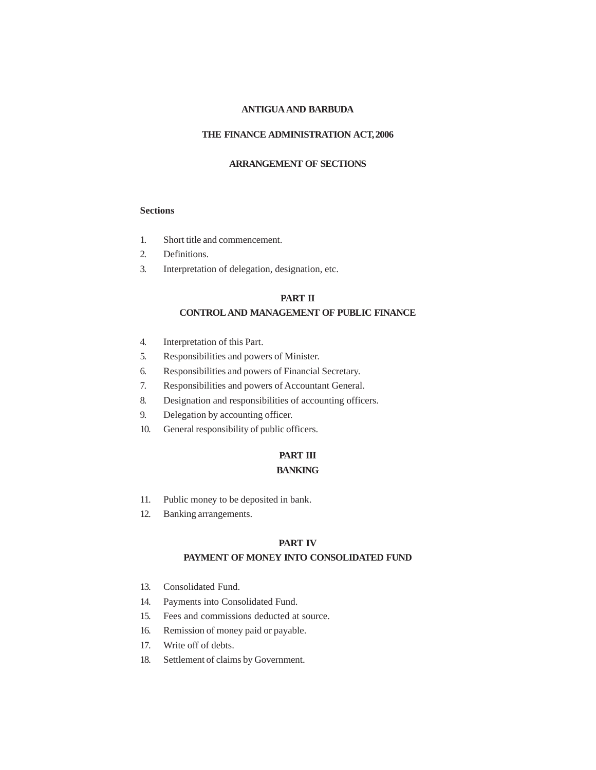### **ANTIGUA AND BARBUDA**

## **THE FINANCE ADMINISTRATION ACT, 2006**

## **ARRANGEMENT OF SECTIONS**

### **Sections**

- 1. Short title and commencement.
- 2. Definitions.
- 3. Interpretation of delegation, designation, etc.

#### **PART II**

## **CONTROL AND MANAGEMENT OF PUBLIC FINANCE**

- 4. Interpretation of this Part.
- 5. Responsibilities and powers of Minister.
- 6. Responsibilities and powers of Financial Secretary.
- 7. Responsibilities and powers of Accountant General.
- 8. Designation and responsibilities of accounting officers.
- 9. Delegation by accounting officer.
- 10. General responsibility of public officers.

## **PART III BANKING**

- 11. Public money to be deposited in bank.
- 12. Banking arrangements.

#### **PART IV**

### **PAYMENT OF MONEY INTO CONSOLIDATED FUND**

- 13. Consolidated Fund.
- 14. Payments into Consolidated Fund.
- 15. Fees and commissions deducted at source.
- 16. Remission of money paid or payable.
- 17. Write off of debts.
- 18. Settlement of claims by Government.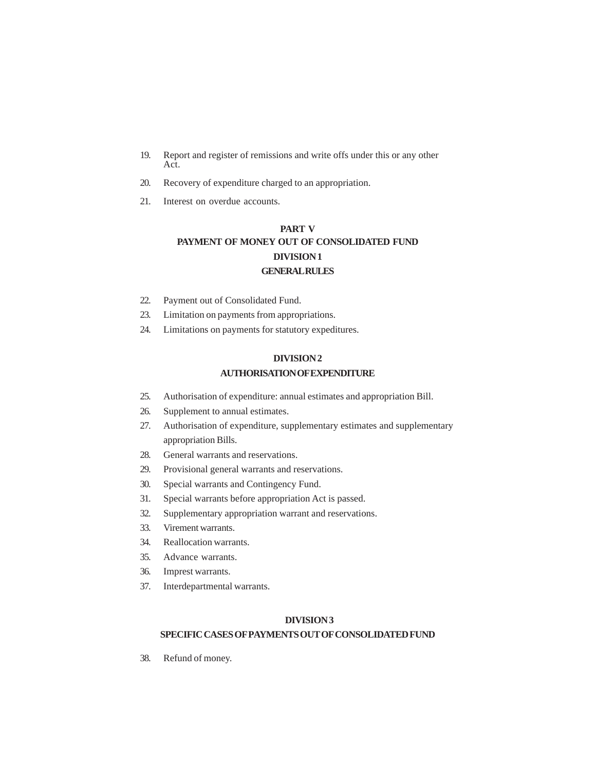- 19. Report and register of remissions and write offs under this or any other Act.
- 20. Recovery of expenditure charged to an appropriation.
- 21. Interest on overdue accounts.

# **PART V PAYMENT OF MONEY OUT OF CONSOLIDATED FUND DIVISION 1 GENERAL RULES**

- 22. Payment out of Consolidated Fund.
- 23. Limitation on payments from appropriations.
- 24. Limitations on payments for statutory expeditures.

## **DIVISION 2 AUTHORISATION OF EXPENDITURE**

- 25. Authorisation of expenditure: annual estimates and appropriation Bill.
- 26. Supplement to annual estimates.
- 27. Authorisation of expenditure, supplementary estimates and supplementary appropriation Bills.
- 28. General warrants and reservations.
- 29. Provisional general warrants and reservations.
- 30. Special warrants and Contingency Fund.
- 31. Special warrants before appropriation Act is passed.
- 32. Supplementary appropriation warrant and reservations.
- 33. Virement warrants.
- 34. Reallocation warrants.
- 35. Advance warrants.
- 36. Imprest warrants.
- 37. Interdepartmental warrants.

## **DIVISION 3**

## **SPECIFIC CASES OF PAYMENTS OUT OF CONSOLIDATED FUND**

38. Refund of money.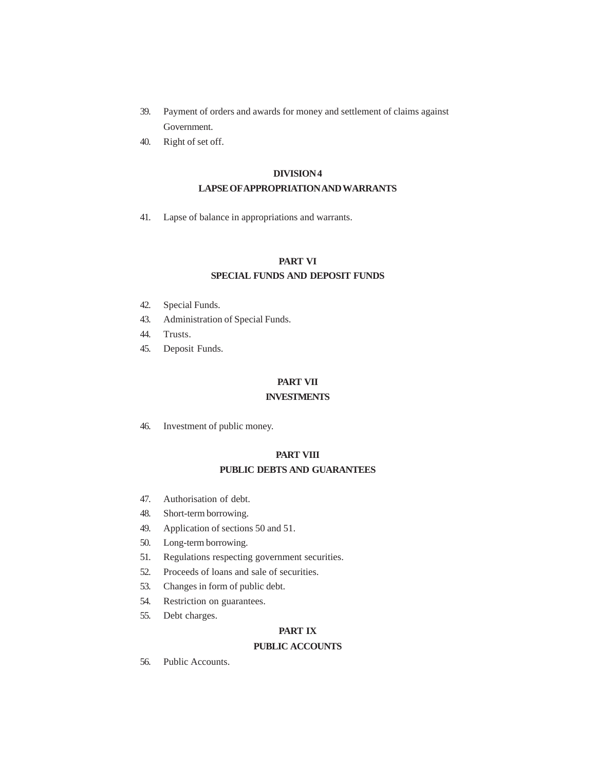- 39. Payment of orders and awards for money and settlement of claims against Government.
- 40. Right of set off.

#### **DIVISION 4**

## **LAPSE OFAPPROPRIATION AND WARRANTS**

41. Lapse of balance in appropriations and warrants.

## **PART VI**

## **SPECIAL FUNDS AND DEPOSIT FUNDS**

- 42. Special Funds.
- 43. Administration of Special Funds.
- 44. Trusts.
- 45. Deposit Funds.

# **PART VII**

## **INVESTMENTS**

46. Investment of public money.

## **PART VIII PUBLIC DEBTS AND GUARANTEES**

- 47. Authorisation of debt.
- 48. Short-term borrowing.
- 49. Application of sections 50 and 51.
- 50. Long-term borrowing.
- 51. Regulations respecting government securities.
- 52. Proceeds of loans and sale of securities.
- 53. Changes in form of public debt.
- 54. Restriction on guarantees.
- 55. Debt charges.

## **PART IX**

### **PUBLIC ACCOUNTS**

56. Public Accounts.